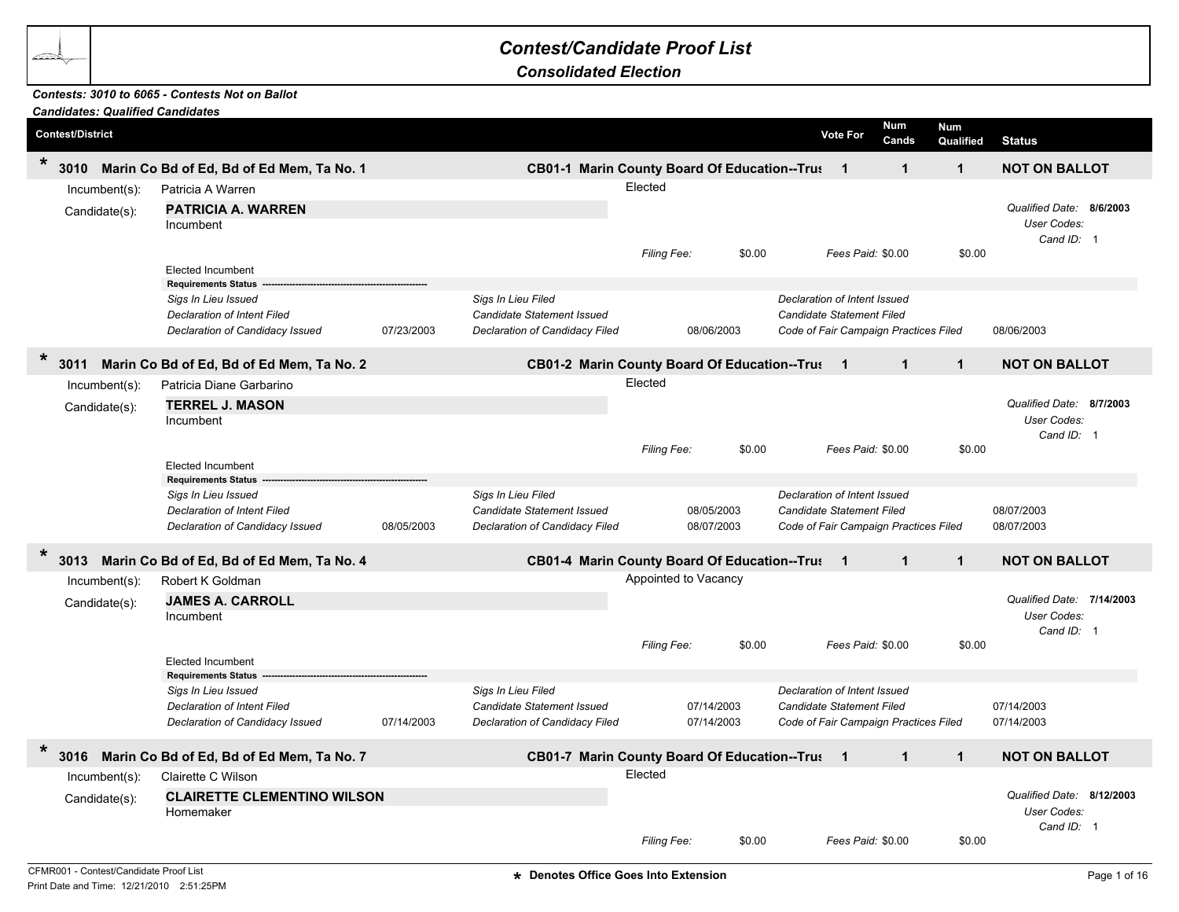## *Contest/Candidate Proof List*

*Consolidated Election*

## *Contests: 3010 to 6065 - Contests Not on Ballot*

| <b>Candidates: Qualified Candidates</b> |                                                                                                                                                 |            |                                                                                           |                                     |                          |                                                                                                    |                         |                                                        |  |
|-----------------------------------------|-------------------------------------------------------------------------------------------------------------------------------------------------|------------|-------------------------------------------------------------------------------------------|-------------------------------------|--------------------------|----------------------------------------------------------------------------------------------------|-------------------------|--------------------------------------------------------|--|
| <b>Contest/District</b>                 |                                                                                                                                                 |            |                                                                                           |                                     |                          | Num<br><b>Vote For</b><br>Cands                                                                    | <b>Num</b><br>Qualified | <b>Status</b>                                          |  |
| $\star$<br>3010                         | Marin Co Bd of Ed, Bd of Ed Mem, Ta No. 1                                                                                                       |            | CB01-1 Marin County Board Of Education--Trus 1                                            |                                     |                          | $\mathbf{1}$                                                                                       | $\mathbf{1}$            | <b>NOT ON BALLOT</b>                                   |  |
| Incumbent(s):<br>Candidate(s):          | Patricia A Warren<br><b>PATRICIA A. WARREN</b><br>Incumbent                                                                                     |            |                                                                                           | Elected<br>Filing Fee:              | \$0.00                   | Fees Paid: \$0.00                                                                                  | \$0.00                  | Qualified Date: 8/6/2003<br>User Codes:<br>Cand ID: 1  |  |
|                                         | <b>Elected Incumbent</b><br><b>Requirements Status</b><br>Sigs In Lieu Issued<br>Declaration of Intent Filed<br>Declaration of Candidacy Issued | 07/23/2003 | Sigs In Lieu Filed<br>Candidate Statement Issued<br>Declaration of Candidacy Filed        |                                     | 08/06/2003               | Declaration of Intent Issued<br>Candidate Statement Filed<br>Code of Fair Campaign Practices Filed |                         | 08/06/2003                                             |  |
| $\star$<br>3011                         | Marin Co Bd of Ed, Bd of Ed Mem, Ta No. 2                                                                                                       |            | CB01-2 Marin County Board Of Education--Trus 1                                            |                                     |                          | $\mathbf{1}$                                                                                       | $\mathbf{1}$            | <b>NOT ON BALLOT</b>                                   |  |
| Incumbent(s):<br>Candidate(s):          | Patricia Diane Garbarino<br><b>TERREL J. MASON</b><br>Incumbent<br><b>Elected Incumbent</b>                                                     |            |                                                                                           | Elected<br>Filing Fee:              | \$0.00                   | Fees Paid: \$0.00                                                                                  | \$0.00                  | Qualified Date: 8/7/2003<br>User Codes:<br>Cand ID: 1  |  |
|                                         | <b>Requirements Status</b>                                                                                                                      |            |                                                                                           |                                     |                          |                                                                                                    |                         |                                                        |  |
|                                         | Sigs In Lieu Issued<br><b>Declaration of Intent Filed</b><br>Declaration of Candidacy Issued                                                    | 08/05/2003 | Sigs In Lieu Filed<br><b>Candidate Statement Issued</b><br>Declaration of Candidacy Filed |                                     | 08/05/2003<br>08/07/2003 | Declaration of Intent Issued<br>Candidate Statement Filed<br>Code of Fair Campaign Practices Filed |                         | 08/07/2003<br>08/07/2003                               |  |
| $\ast$<br>3013                          | Marin Co Bd of Ed, Bd of Ed Mem, Ta No. 4                                                                                                       |            | CB01-4 Marin County Board Of Education--Trus 1                                            |                                     |                          | $\blacktriangleleft$                                                                               | $\mathbf{1}$            | <b>NOT ON BALLOT</b>                                   |  |
| Incumbent(s):<br>Candidate(s):          | Robert K Goldman<br><b>JAMES A. CARROLL</b><br>Incumbent<br>Elected Incumbent                                                                   |            |                                                                                           | Appointed to Vacancy<br>Filing Fee: | \$0.00                   | Fees Paid: \$0.00                                                                                  | \$0.00                  | Qualified Date: 7/14/2003<br>User Codes:<br>Cand ID: 1 |  |
|                                         | <b>Requirements Status</b><br>Sigs In Lieu Issued<br><b>Declaration of Intent Filed</b><br>Declaration of Candidacy Issued                      | 07/14/2003 | Sigs In Lieu Filed<br><b>Candidate Statement Issued</b><br>Declaration of Candidacy Filed |                                     | 07/14/2003<br>07/14/2003 | Declaration of Intent Issued<br>Candidate Statement Filed<br>Code of Fair Campaign Practices Filed |                         | 07/14/2003<br>07/14/2003                               |  |
| $\star$<br>3016                         | Marin Co Bd of Ed, Bd of Ed Mem, Ta No. 7                                                                                                       |            | CB01-7 Marin County Board Of Education--Trus 1                                            |                                     |                          | $\mathbf{1}$                                                                                       | $\mathbf{1}$            | <b>NOT ON BALLOT</b>                                   |  |
| Incumbent(s):<br>Candidate(s):          | Clairette C Wilson<br><b>CLAIRETTE CLEMENTINO WILSON</b><br>Homemaker                                                                           |            |                                                                                           | Elected<br>Filing Fee:              | \$0.00                   | Fees Paid: \$0.00                                                                                  | \$0.00                  | Qualified Date: 8/12/2003<br>User Codes:<br>Cand ID: 1 |  |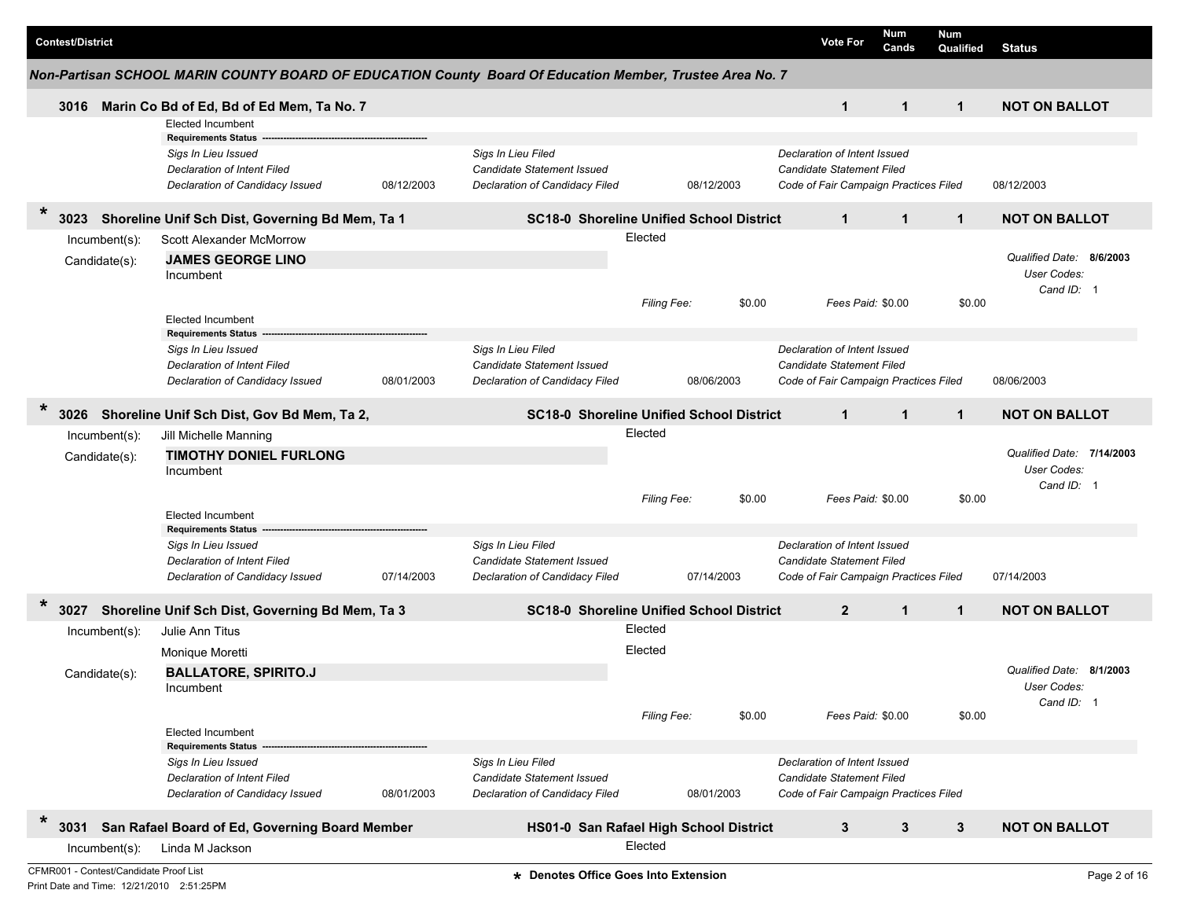|        | <b>Contest/District</b> |                                        |                                                                                                                     |            |                                                                                           |                    |            | <b>Vote For</b>                                                                                           | Num<br>Cands      | Num<br>Qualified | <b>Status</b>                                            |              |
|--------|-------------------------|----------------------------------------|---------------------------------------------------------------------------------------------------------------------|------------|-------------------------------------------------------------------------------------------|--------------------|------------|-----------------------------------------------------------------------------------------------------------|-------------------|------------------|----------------------------------------------------------|--------------|
|        |                         |                                        | Non-Partisan SCHOOL MARIN COUNTY BOARD OF EDUCATION County Board Of Education Member, Trustee Area No. 7            |            |                                                                                           |                    |            |                                                                                                           |                   |                  |                                                          |              |
|        | 3016                    |                                        | Marin Co Bd of Ed, Bd of Ed Mem, Ta No. 7                                                                           |            |                                                                                           |                    |            | $\mathbf{1}$                                                                                              | $\mathbf{1}$      | $\mathbf{1}$     | <b>NOT ON BALLOT</b>                                     |              |
|        |                         |                                        | <b>Elected Incumbent</b>                                                                                            |            |                                                                                           |                    |            |                                                                                                           |                   |                  |                                                          |              |
|        |                         |                                        | <b>Requirements Status</b><br>Sigs In Lieu Issued<br>Declaration of Intent Filed<br>Declaration of Candidacy Issued | 08/12/2003 | Sigs In Lieu Filed<br>Candidate Statement Issued<br>Declaration of Candidacy Filed        |                    | 08/12/2003 | Declaration of Intent Issued<br><b>Candidate Statement Filed</b><br>Code of Fair Campaign Practices Filed |                   |                  | 08/12/2003                                               |              |
| *      | 3023                    |                                        | Shoreline Unif Sch Dist, Governing Bd Mem, Ta 1                                                                     |            | <b>SC18-0 Shoreline Unified School District</b>                                           |                    |            | $\mathbf{1}$                                                                                              | $\mathbf{1}$      | $\mathbf{1}$     | <b>NOT ON BALLOT</b>                                     |              |
|        |                         | Incumbent(s):                          | Scott Alexander McMorrow                                                                                            |            |                                                                                           | Elected            |            |                                                                                                           |                   |                  |                                                          |              |
|        |                         | Candidate(s):                          | <b>JAMES GEORGE LINO</b><br>Incumbent                                                                               |            |                                                                                           |                    |            |                                                                                                           |                   |                  | Qualified Date:<br>8/6/2003<br>User Codes:<br>Cand ID: 1 |              |
|        |                         |                                        | <b>Elected Incumbent</b>                                                                                            |            |                                                                                           | <b>Filing Fee:</b> | \$0.00     |                                                                                                           | Fees Paid: \$0.00 | \$0.00           |                                                          |              |
|        |                         |                                        | <b>Requirements Status</b><br>Sigs In Lieu Issued<br>Declaration of Intent Filed<br>Declaration of Candidacy Issued | 08/01/2003 | Sigs In Lieu Filed<br>Candidate Statement Issued<br>Declaration of Candidacy Filed        |                    | 08/06/2003 | Declaration of Intent Issued<br><b>Candidate Statement Filed</b><br>Code of Fair Campaign Practices Filed |                   |                  | 08/06/2003                                               |              |
| *      | 3026                    |                                        | Shoreline Unif Sch Dist, Gov Bd Mem, Ta 2,                                                                          |            | <b>SC18-0 Shoreline Unified School District</b>                                           |                    |            | $\mathbf{1}$                                                                                              | $\mathbf{1}$      | $\mathbf{1}$     | <b>NOT ON BALLOT</b>                                     |              |
|        |                         | Incumbent(s):                          | Jill Michelle Manning                                                                                               |            |                                                                                           | Elected            |            |                                                                                                           |                   |                  |                                                          |              |
|        |                         | Candidate(s):                          | <b>TIMOTHY DONIEL FURLONG</b><br>Incumbent                                                                          |            |                                                                                           |                    |            |                                                                                                           |                   |                  | Qualified Date: 7/14/2003<br>User Codes:<br>Cand ID: 1   |              |
|        |                         |                                        | <b>Elected Incumbent</b><br><b>Requirements Status</b>                                                              |            |                                                                                           | <b>Filing Fee:</b> | \$0.00     |                                                                                                           | Fees Paid: \$0.00 | \$0.00           |                                                          |              |
|        |                         |                                        | Sigs In Lieu Issued<br>Declaration of Intent Filed<br>Declaration of Candidacy Issued                               | 07/14/2003 | Sigs In Lieu Filed<br><b>Candidate Statement Issued</b><br>Declaration of Candidacy Filed |                    | 07/14/2003 | Declaration of Intent Issued<br><b>Candidate Statement Filed</b><br>Code of Fair Campaign Practices Filed |                   |                  | 07/14/2003                                               |              |
| *      | 3027                    |                                        | Shoreline Unif Sch Dist, Governing Bd Mem, Ta 3                                                                     |            | <b>SC18-0 Shoreline Unified School District</b>                                           |                    |            | $\overline{2}$                                                                                            | $\mathbf{1}$      | $\mathbf{1}$     | <b>NOT ON BALLOT</b>                                     |              |
|        |                         | Incumbent(s):                          | Julie Ann Titus                                                                                                     |            |                                                                                           | Elected            |            |                                                                                                           |                   |                  |                                                          |              |
|        |                         |                                        | Monique Moretti                                                                                                     |            |                                                                                           | Elected            |            |                                                                                                           |                   |                  |                                                          |              |
|        |                         | Candidate(s):                          | <b>BALLATORE, SPIRITO.J</b><br>Incumbent                                                                            |            |                                                                                           |                    |            |                                                                                                           |                   |                  | Qualified Date: 8/1/2003<br>User Codes:<br>Cand ID: 1    |              |
|        |                         |                                        | <b>Elected Incumbent</b><br><b>Requirements Status</b>                                                              |            |                                                                                           | Filing Fee:        | \$0.00     |                                                                                                           | Fees Paid: \$0.00 | \$0.00           |                                                          |              |
|        |                         |                                        | Sigs In Lieu Issued<br><b>Declaration of Intent Filed</b><br>Declaration of Candidacy Issued                        | 08/01/2003 | Sigs In Lieu Filed<br><b>Candidate Statement Issued</b><br>Declaration of Candidacy Filed |                    | 08/01/2003 | Declaration of Intent Issued<br><b>Candidate Statement Filed</b><br>Code of Fair Campaign Practices Filed |                   |                  |                                                          |              |
| $\ast$ | 3031                    |                                        | San Rafael Board of Ed, Governing Board Member                                                                      |            | HS01-0 San Rafael High School District                                                    |                    |            | 3                                                                                                         | $\mathbf{3}$      | $\mathbf{3}$     | <b>NOT ON BALLOT</b>                                     |              |
|        |                         | $Incumbent(s)$ :                       | Linda M Jackson                                                                                                     |            |                                                                                           | Elected            |            |                                                                                                           |                   |                  |                                                          |              |
|        |                         | CFMR001 - Contest/Candidate Proof List |                                                                                                                     |            | * Denotes Office Goes Into Extension                                                      |                    |            |                                                                                                           |                   |                  |                                                          | Page 2 of 16 |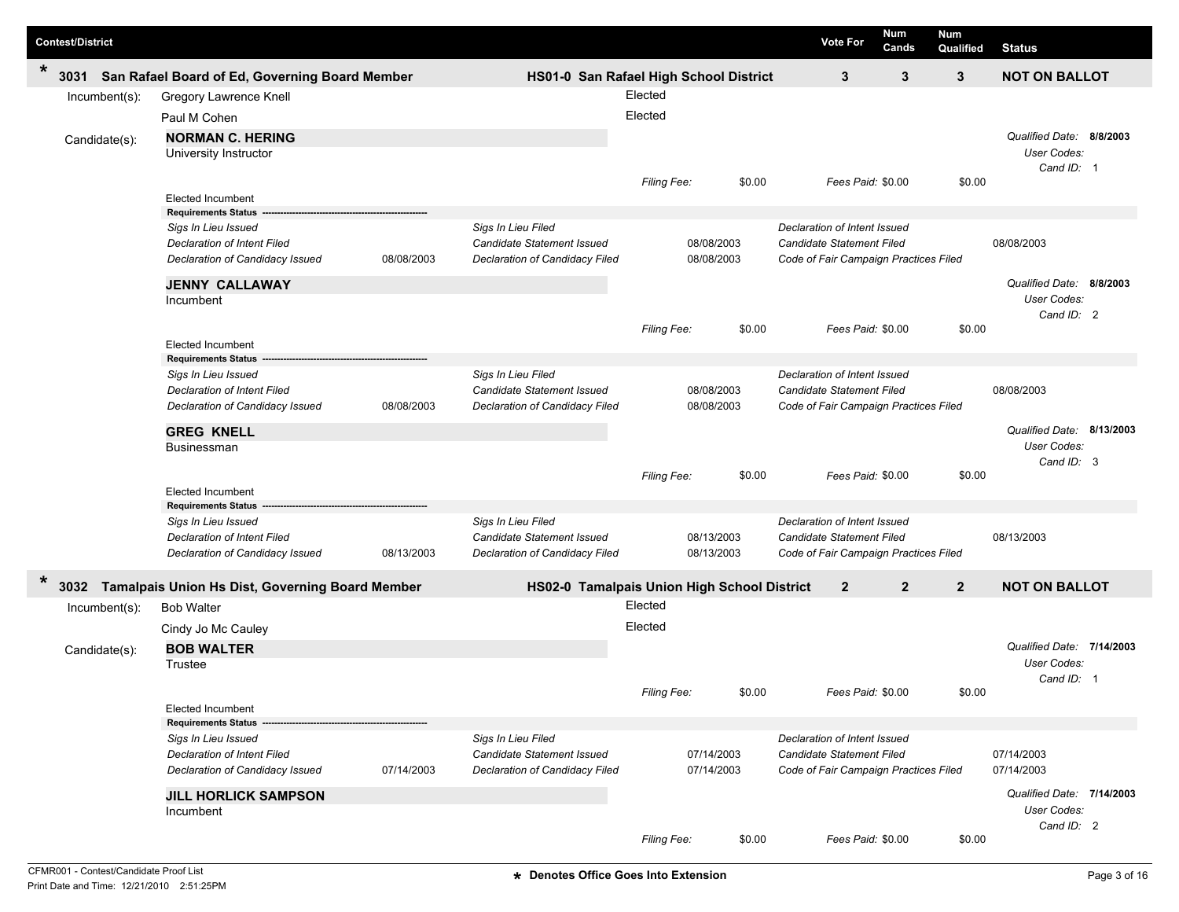| <b>Contest/District</b>        |                                                                                                                            |            |                                                                                           |                    |                          |        | <b>Vote For</b>                                                                                           | Num<br>Cands | <b>Num</b><br>Qualified | <b>Status</b>                                                 |  |
|--------------------------------|----------------------------------------------------------------------------------------------------------------------------|------------|-------------------------------------------------------------------------------------------|--------------------|--------------------------|--------|-----------------------------------------------------------------------------------------------------------|--------------|-------------------------|---------------------------------------------------------------|--|
| $\ast$<br>3031                 | San Rafael Board of Ed, Governing Board Member                                                                             |            | HS01-0 San Rafael High School District                                                    |                    |                          |        | $\mathbf{3}$                                                                                              | 3            | 3                       | <b>NOT ON BALLOT</b>                                          |  |
| Incumbent(s):                  | Gregory Lawrence Knell<br>Paul M Cohen<br><b>NORMAN C. HERING</b>                                                          |            |                                                                                           | Elected<br>Elected |                          |        |                                                                                                           |              |                         | Qualified Date: 8/8/2003                                      |  |
| Candidate(s):                  | University Instructor<br><b>Elected Incumbent</b>                                                                          |            |                                                                                           | Filing Fee:        |                          | \$0.00 | Fees Paid: \$0.00                                                                                         |              | \$0.00                  | User Codes:<br>Cand ID: 1                                     |  |
|                                | <b>Requirements Status</b><br>Sigs In Lieu Issued<br>Declaration of Intent Filed<br>Declaration of Candidacy Issued        | 08/08/2003 | Sigs In Lieu Filed<br>Candidate Statement Issued<br>Declaration of Candidacy Filed        |                    | 08/08/2003<br>08/08/2003 |        | Declaration of Intent Issued<br>Candidate Statement Filed<br>Code of Fair Campaign Practices Filed        |              |                         | 08/08/2003                                                    |  |
|                                | <b>JENNY CALLAWAY</b><br>Incumbent<br><b>Elected Incumbent</b>                                                             |            |                                                                                           | <b>Filing Fee:</b> |                          | \$0.00 | Fees Paid: \$0.00                                                                                         |              | \$0.00                  | Qualified Date: 8/8/2003<br>User Codes:<br>Cand ID: 2         |  |
|                                | <b>Requirements Status</b><br>Sigs In Lieu Issued<br><b>Declaration of Intent Filed</b><br>Declaration of Candidacy Issued | 08/08/2003 | Sigs In Lieu Filed<br><b>Candidate Statement Issued</b><br>Declaration of Candidacy Filed |                    | 08/08/2003<br>08/08/2003 |        | Declaration of Intent Issued<br><b>Candidate Statement Filed</b><br>Code of Fair Campaign Practices Filed |              |                         | 08/08/2003                                                    |  |
|                                | <b>GREG KNELL</b><br>Businessman<br><b>Elected Incumbent</b>                                                               |            |                                                                                           | Filing Fee:        |                          | \$0.00 | Fees Paid: \$0.00                                                                                         |              | \$0.00                  | Qualified Date: 8/13/2003<br>User Codes:<br>Cand ID: 3        |  |
|                                | <b>Requirements Status</b><br>Sigs In Lieu Issued<br><b>Declaration of Intent Filed</b><br>Declaration of Candidacy Issued | 08/13/2003 | Sigs In Lieu Filed<br><b>Candidate Statement Issued</b><br>Declaration of Candidacy Filed |                    | 08/13/2003<br>08/13/2003 |        | Declaration of Intent Issued<br><b>Candidate Statement Filed</b><br>Code of Fair Campaign Practices Filed |              |                         | 08/13/2003                                                    |  |
| *<br>3032                      | <b>Tamalpais Union Hs Dist, Governing Board Member</b>                                                                     |            | HS02-0 Tamalpais Union High School District                                               |                    |                          |        | $\mathbf{2}$                                                                                              | $\mathbf{2}$ | $\mathbf{2}$            | <b>NOT ON BALLOT</b>                                          |  |
| Incumbent(s):<br>Candidate(s): | <b>Bob Walter</b><br>Cindy Jo Mc Cauley<br><b>BOB WALTER</b><br>Trustee                                                    |            |                                                                                           | Elected<br>Elected |                          |        |                                                                                                           |              |                         | Qualified Date: 7/14/2003<br><b>User Codes:</b><br>Cand ID: 1 |  |
|                                | Elected Incumbent<br><b>Requirements Status</b>                                                                            |            |                                                                                           | <b>Filing Fee:</b> |                          | \$0.00 | Fees Paid: \$0.00                                                                                         |              | \$0.00                  |                                                               |  |
|                                | Sigs In Lieu Issued<br>Declaration of Intent Filed<br>Declaration of Candidacy Issued                                      | 07/14/2003 | Sigs In Lieu Filed<br><b>Candidate Statement Issued</b><br>Declaration of Candidacy Filed |                    | 07/14/2003<br>07/14/2003 |        | Declaration of Intent Issued<br>Candidate Statement Filed<br>Code of Fair Campaign Practices Filed        |              |                         | 07/14/2003<br>07/14/2003                                      |  |
|                                | <b>JILL HORLICK SAMPSON</b><br>Incumbent                                                                                   |            |                                                                                           | Filing Fee:        |                          | \$0.00 | Fees Paid: \$0.00                                                                                         |              | \$0.00                  | Qualified Date: 7/14/2003<br>User Codes:<br>Cand ID: 2        |  |

ı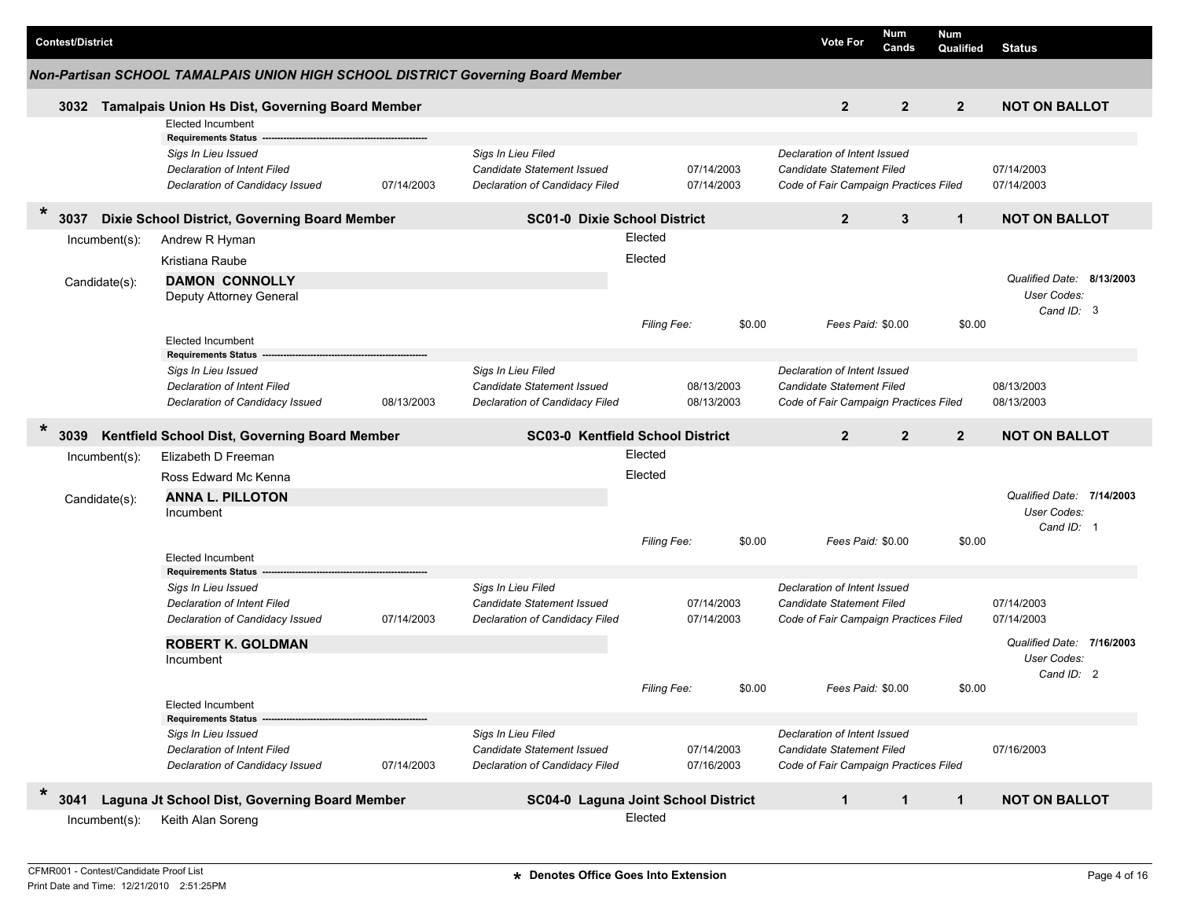|                                    | <b>Contest/District</b>                                         |                                                                                 |            |                                                  |                    |            | <b>Vote For</b>                                           | <b>Num</b><br>Cands | <b>Num</b><br>Qualified | <b>Status</b>                                   |  |
|------------------------------------|-----------------------------------------------------------------|---------------------------------------------------------------------------------|------------|--------------------------------------------------|--------------------|------------|-----------------------------------------------------------|---------------------|-------------------------|-------------------------------------------------|--|
|                                    |                                                                 | Non-Partisan SCHOOL TAMALPAIS UNION HIGH SCHOOL DISTRICT Governing Board Member |            |                                                  |                    |            |                                                           |                     |                         |                                                 |  |
|                                    |                                                                 | 3032 Tamalpais Union Hs Dist, Governing Board Member                            |            |                                                  |                    |            | $\overline{2}$                                            | $\overline{2}$      | $\overline{2}$          | <b>NOT ON BALLOT</b>                            |  |
|                                    |                                                                 | <b>Elected Incumbent</b>                                                        |            |                                                  |                    |            |                                                           |                     |                         |                                                 |  |
|                                    |                                                                 | <b>Requirements Status</b>                                                      |            |                                                  |                    |            |                                                           |                     |                         |                                                 |  |
|                                    |                                                                 | Sigs In Lieu Issued<br><b>Declaration of Intent Filed</b>                       |            | Sigs In Lieu Filed<br>Candidate Statement Issued |                    | 07/14/2003 | Declaration of Intent Issued<br>Candidate Statement Filed |                     |                         | 07/14/2003                                      |  |
|                                    |                                                                 | Declaration of Candidacy Issued                                                 | 07/14/2003 | Declaration of Candidacy Filed                   |                    | 07/14/2003 | Code of Fair Campaign Practices Filed                     |                     |                         | 07/14/2003                                      |  |
| $\ast$                             |                                                                 | Dixie School District, Governing Board Member                                   |            | <b>SC01-0 Dixie School District</b>              |                    |            | $\overline{2}$                                            | 3                   | $\mathbf{1}$            | <b>NOT ON BALLOT</b>                            |  |
|                                    | Incumbent(s):                                                   | Andrew R Hyman                                                                  |            |                                                  | Elected            |            |                                                           |                     |                         |                                                 |  |
|                                    |                                                                 | Kristiana Raube                                                                 |            |                                                  | Elected            |            |                                                           |                     |                         |                                                 |  |
|                                    | Candidate(s):                                                   | <b>DAMON CONNOLLY</b>                                                           |            |                                                  |                    |            |                                                           |                     |                         | Qualified Date: 8/13/2003                       |  |
|                                    |                                                                 | Deputy Attorney General                                                         |            |                                                  |                    |            |                                                           |                     |                         | User Codes:                                     |  |
|                                    |                                                                 |                                                                                 |            |                                                  |                    |            |                                                           |                     |                         | Cand ID: 3                                      |  |
|                                    |                                                                 | <b>Elected Incumbent</b>                                                        |            |                                                  | Filing Fee:        | \$0.00     | Fees Paid: \$0.00                                         |                     | \$0.00                  |                                                 |  |
|                                    |                                                                 | <b>Requirements Status</b>                                                      |            |                                                  |                    |            |                                                           |                     |                         |                                                 |  |
|                                    |                                                                 | Sigs In Lieu Issued                                                             |            | Sigs In Lieu Filed                               |                    |            | Declaration of Intent Issued                              |                     |                         |                                                 |  |
| <b>Declaration of Intent Filed</b> |                                                                 |                                                                                 |            | Candidate Statement Issued                       |                    | 08/13/2003 | Candidate Statement Filed                                 |                     |                         | 08/13/2003                                      |  |
|                                    |                                                                 | Declaration of Candidacy Issued                                                 | 08/13/2003 | Declaration of Candidacy Filed                   |                    | 08/13/2003 | Code of Fair Campaign Practices Filed                     |                     |                         | 08/13/2003                                      |  |
|                                    |                                                                 |                                                                                 |            |                                                  |                    |            |                                                           |                     |                         |                                                 |  |
|                                    | $\ast$<br>Kentfield School Dist, Governing Board Member<br>3039 |                                                                                 |            |                                                  |                    |            |                                                           |                     |                         |                                                 |  |
|                                    |                                                                 |                                                                                 |            | <b>SC03-0 Kentfield School District</b>          | Elected            |            | $\overline{2}$                                            | $\overline{2}$      | $\overline{2}$          | <b>NOT ON BALLOT</b>                            |  |
|                                    | $Incumbent(s)$ :                                                | Elizabeth D Freeman                                                             |            |                                                  |                    |            |                                                           |                     |                         |                                                 |  |
|                                    |                                                                 | Ross Edward Mc Kenna                                                            |            |                                                  | Elected            |            |                                                           |                     |                         |                                                 |  |
|                                    | Candidate(s):                                                   | <b>ANNA L. PILLOTON</b>                                                         |            |                                                  |                    |            |                                                           |                     |                         | Qualified Date: 7/14/2003<br><b>User Codes:</b> |  |
|                                    |                                                                 | Incumbent                                                                       |            |                                                  |                    |            |                                                           |                     |                         | Cand ID: 1                                      |  |
|                                    |                                                                 |                                                                                 |            |                                                  | <b>Filing Fee:</b> | \$0.00     | Fees Paid: \$0.00                                         |                     | \$0.00                  |                                                 |  |
|                                    |                                                                 | <b>Elected Incumbent</b>                                                        |            |                                                  |                    |            |                                                           |                     |                         |                                                 |  |
|                                    |                                                                 | <b>Requirements Status</b>                                                      |            |                                                  |                    |            | Declaration of Intent Issued                              |                     |                         |                                                 |  |
|                                    |                                                                 | Sigs In Lieu Issued<br><b>Declaration of Intent Filed</b>                       |            | Sigs In Lieu Filed<br>Candidate Statement Issued |                    | 07/14/2003 | <b>Candidate Statement Filed</b>                          |                     |                         | 07/14/2003                                      |  |
|                                    |                                                                 | Declaration of Candidacy Issued                                                 | 07/14/2003 | Declaration of Candidacy Filed                   |                    | 07/14/2003 | Code of Fair Campaign Practices Filed                     |                     |                         | 07/14/2003                                      |  |
|                                    |                                                                 |                                                                                 |            |                                                  |                    |            |                                                           |                     |                         | Qualified Date: 7/16/2003                       |  |
|                                    |                                                                 | <b>ROBERT K. GOLDMAN</b><br>Incumbent                                           |            |                                                  |                    |            |                                                           |                     |                         | User Codes:                                     |  |
|                                    |                                                                 |                                                                                 |            |                                                  |                    |            |                                                           |                     |                         | Cand ID: 2                                      |  |
|                                    |                                                                 |                                                                                 |            |                                                  | Filing Fee:        | \$0.00     | Fees Paid: \$0.00                                         |                     | \$0.00                  |                                                 |  |
|                                    |                                                                 | <b>Elected Incumbent</b><br><b>Requirements Status</b>                          |            |                                                  |                    |            |                                                           |                     |                         |                                                 |  |
|                                    |                                                                 | Sigs In Lieu Issued                                                             |            | Sigs In Lieu Filed                               |                    |            | Declaration of Intent Issued                              |                     |                         |                                                 |  |
|                                    |                                                                 | <b>Declaration of Intent Filed</b>                                              |            | Candidate Statement Issued                       |                    | 07/14/2003 | Candidate Statement Filed                                 |                     |                         | 07/16/2003                                      |  |
|                                    |                                                                 | Declaration of Candidacy Issued                                                 | 07/14/2003 | Declaration of Candidacy Filed                   |                    | 07/16/2003 | Code of Fair Campaign Practices Filed                     |                     |                         |                                                 |  |
| $\ast$                             | 3041                                                            | Laguna Jt School Dist, Governing Board Member                                   |            | SC04-0 Laguna Joint School District              |                    |            | $\mathbf{1}$                                              | $\mathbf{1}$        | $\mathbf{1}$            | <b>NOT ON BALLOT</b>                            |  |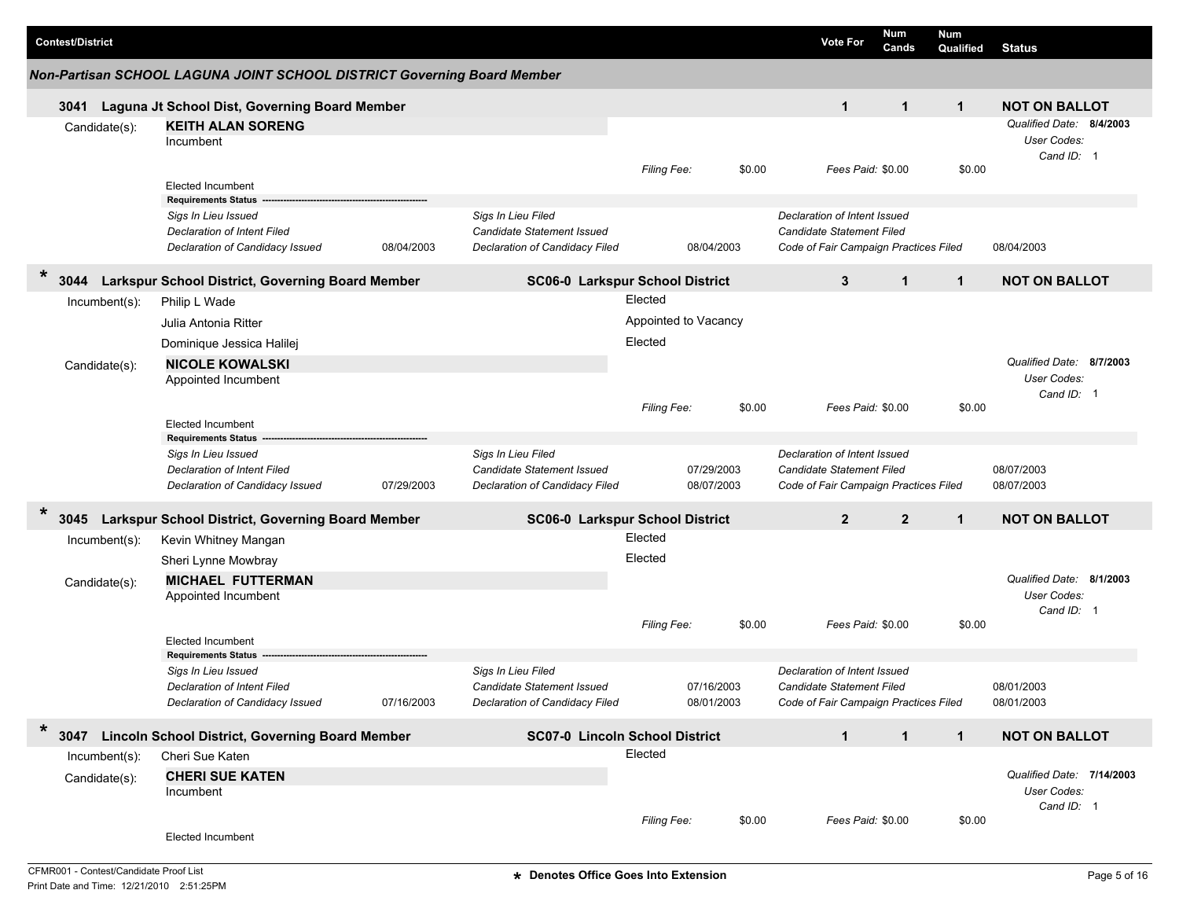| <b>Contest/District</b>           |                                                                                                                     |            |                                                                                           |                                            |                          | <b>Vote For</b>                                                                                    | Num<br>Cands                          | <b>Num</b><br>Qualified | <b>Status</b>                                          |
|-----------------------------------|---------------------------------------------------------------------------------------------------------------------|------------|-------------------------------------------------------------------------------------------|--------------------------------------------|--------------------------|----------------------------------------------------------------------------------------------------|---------------------------------------|-------------------------|--------------------------------------------------------|
|                                   | Non-Partisan SCHOOL LAGUNA JOINT SCHOOL DISTRICT Governing Board Member                                             |            |                                                                                           |                                            |                          |                                                                                                    |                                       |                         |                                                        |
| 3041                              | Laguna Jt School Dist, Governing Board Member                                                                       |            |                                                                                           |                                            |                          | $\mathbf{1}$                                                                                       | $\mathbf{1}$                          | $\mathbf{1}$            | <b>NOT ON BALLOT</b>                                   |
| Candidate(s):                     | <b>KEITH ALAN SORENG</b><br>Incumbent                                                                               |            |                                                                                           |                                            |                          |                                                                                                    |                                       |                         | Qualified Date: 8/4/2003<br>User Codes:<br>Cand ID: 1  |
|                                   | <b>Elected Incumbent</b><br><b>Requirements Status</b>                                                              |            |                                                                                           | Filing Fee:                                | \$0.00                   |                                                                                                    | Fees Paid: \$0.00                     | \$0.00                  |                                                        |
|                                   | Sigs In Lieu Issued<br><b>Declaration of Intent Filed</b><br>Declaration of Candidacy Issued                        | 08/04/2003 | Sigs In Lieu Filed<br>Candidate Statement Issued<br>Declaration of Candidacy Filed        |                                            | 08/04/2003               | Declaration of Intent Issued<br>Candidate Statement Filed<br>Code of Fair Campaign Practices Filed |                                       |                         | 08/04/2003                                             |
| $\ast$<br>3044                    | Larkspur School District, Governing Board Member                                                                    |            | SC06-0 Larkspur School District                                                           |                                            |                          | 3                                                                                                  | $\mathbf{1}$                          | $\mathbf{1}$            | <b>NOT ON BALLOT</b>                                   |
| $Incumbent(s)$ :                  | Philip L Wade<br>Julia Antonia Ritter<br>Dominique Jessica Halilej<br><b>NICOLE KOWALSKI</b>                        |            |                                                                                           | Elected<br>Appointed to Vacancy<br>Elected |                          |                                                                                                    |                                       |                         |                                                        |
| Candidate(s):                     | Appointed Incumbent                                                                                                 |            |                                                                                           | <b>Filing Fee:</b>                         | \$0.00                   |                                                                                                    | Fees Paid: \$0.00                     | \$0.00                  | Qualified Date: 8/7/2003<br>User Codes:<br>Cand ID: 1  |
|                                   | <b>Elected Incumbent</b><br><b>Requirements Status</b>                                                              |            |                                                                                           |                                            |                          |                                                                                                    |                                       |                         |                                                        |
|                                   | Sigs In Lieu Issued<br><b>Declaration of Intent Filed</b><br>Declaration of Candidacy Issued                        | 07/29/2003 | Sigs In Lieu Filed<br>Candidate Statement Issued<br>Declaration of Candidacy Filed        |                                            | 07/29/2003<br>08/07/2003 | Declaration of Intent Issued<br>Candidate Statement Filed<br>Code of Fair Campaign Practices Filed |                                       |                         | 08/07/2003<br>08/07/2003                               |
| $\ast$<br>3045                    | Larkspur School District, Governing Board Member                                                                    |            | SC06-0 Larkspur School District                                                           |                                            |                          | $\overline{2}$                                                                                     | $\overline{2}$                        | $\mathbf{1}$            | <b>NOT ON BALLOT</b>                                   |
| Incumbent(s):                     | Kevin Whitney Mangan                                                                                                |            |                                                                                           | Elected                                    |                          |                                                                                                    |                                       |                         |                                                        |
| Candidate(s):                     | Sheri Lynne Mowbray<br><b>MICHAEL FUTTERMAN</b><br>Appointed Incumbent                                              |            |                                                                                           | Elected                                    |                          |                                                                                                    |                                       |                         | Qualified Date: 8/1/2003<br>User Codes:<br>Cand ID: 1  |
|                                   | <b>Elected Incumbent</b>                                                                                            |            |                                                                                           | <b>Filing Fee:</b>                         | \$0.00                   |                                                                                                    | Fees Paid: \$0.00                     | \$0.00                  |                                                        |
|                                   | <b>Requirements Status</b><br>Sias In Lieu Issued<br>Declaration of Intent Filed<br>Declaration of Candidacy Issued | 07/16/2003 | Sigs In Lieu Filed<br><b>Candidate Statement Issued</b><br>Declaration of Candidacy Filed |                                            | 07/16/2003<br>08/01/2003 | Declaration of Intent Issued<br>Candidate Statement Filed                                          | Code of Fair Campaign Practices Filed |                         | 08/01/2003<br>08/01/2003                               |
| $\ast$<br>3047                    | <b>Lincoln School District, Governing Board Member</b>                                                              |            | <b>SC07-0 Lincoln School District</b>                                                     |                                            |                          | $\mathbf{1}$                                                                                       | $\mathbf{1}$                          | $\mathbf{1}$            | <b>NOT ON BALLOT</b>                                   |
| $Incumbent(s)$ :<br>Candidate(s): | Cheri Sue Katen<br><b>CHERI SUE KATEN</b><br>Incumbent                                                              |            |                                                                                           | Elected                                    |                          |                                                                                                    |                                       |                         | Qualified Date: 7/14/2003<br>User Codes:<br>Cand ID: 1 |
|                                   | Elected Incumbent                                                                                                   |            |                                                                                           | Filing Fee:                                | \$0.00                   |                                                                                                    | Fees Paid: \$0.00                     | \$0.00                  |                                                        |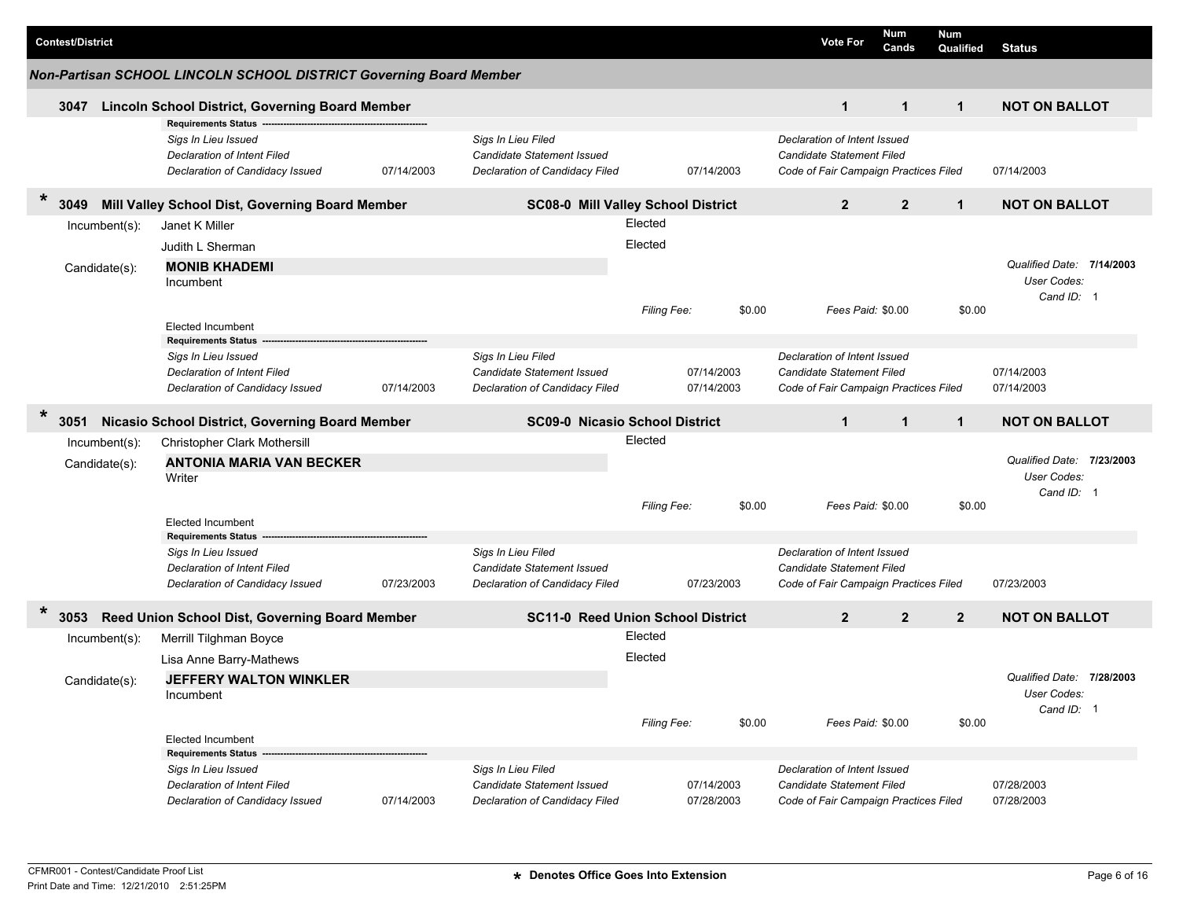|        | <b>Contest/District</b>        |                                                                                                                     |            |                                                                                           |                    |                          |        | <b>Vote For</b>                                                                                           | Num<br>Cands   | Num<br>Qualified | Status                                                 |  |
|--------|--------------------------------|---------------------------------------------------------------------------------------------------------------------|------------|-------------------------------------------------------------------------------------------|--------------------|--------------------------|--------|-----------------------------------------------------------------------------------------------------------|----------------|------------------|--------------------------------------------------------|--|
|        |                                | Non-Partisan SCHOOL LINCOLN SCHOOL DISTRICT Governing Board Member                                                  |            |                                                                                           |                    |                          |        |                                                                                                           |                |                  |                                                        |  |
|        | 3047                           | Lincoln School District, Governing Board Member                                                                     |            |                                                                                           |                    |                          |        | $\mathbf 1$                                                                                               | $\mathbf{1}$   | $\mathbf{1}$     | <b>NOT ON BALLOT</b>                                   |  |
|        |                                | <b>Requirements Status</b><br>Sigs In Lieu Issued<br>Declaration of Intent Filed<br>Declaration of Candidacy Issued | 07/14/2003 | Sigs In Lieu Filed<br>Candidate Statement Issued<br>Declaration of Candidacy Filed        |                    | 07/14/2003               |        | Declaration of Intent Issued<br>Candidate Statement Filed<br>Code of Fair Campaign Practices Filed        |                |                  | 07/14/2003                                             |  |
| $\ast$ | 3049                           | Mill Valley School Dist, Governing Board Member                                                                     |            | <b>SC08-0 Mill Valley School District</b>                                                 |                    |                          |        | $\overline{2}$                                                                                            | $\overline{2}$ | $\mathbf{1}$     | <b>NOT ON BALLOT</b>                                   |  |
|        | Incumbent(s):<br>Candidate(s): | Janet K Miller<br>Judith L Sherman<br><b>MONIB KHADEMI</b><br>Incumbent                                             |            |                                                                                           | Elected<br>Elected |                          |        |                                                                                                           |                |                  | Qualified Date: 7/14/2003<br>User Codes:               |  |
|        |                                | <b>Elected Incumbent</b>                                                                                            |            |                                                                                           | Filing Fee:        |                          | \$0.00 | Fees Paid: \$0.00                                                                                         |                | \$0.00           | Cand ID: 1                                             |  |
|        |                                | <b>Requirements Status</b><br>Sigs In Lieu Issued<br>Declaration of Intent Filed<br>Declaration of Candidacy Issued | 07/14/2003 | Sigs In Lieu Filed<br>Candidate Statement Issued<br>Declaration of Candidacy Filed        |                    | 07/14/2003<br>07/14/2003 |        | Declaration of Intent Issued<br>Candidate Statement Filed<br>Code of Fair Campaign Practices Filed        |                |                  | 07/14/2003<br>07/14/2003                               |  |
| $\ast$ | 3051                           | Nicasio School District, Governing Board Member                                                                     |            | <b>SC09-0 Nicasio School District</b>                                                     |                    |                          |        | $\mathbf{1}$                                                                                              | $\mathbf{1}$   | $\mathbf{1}$     | <b>NOT ON BALLOT</b>                                   |  |
|        | Incumbent(s):<br>Candidate(s): | Christopher Clark Mothersill<br><b>ANTONIA MARIA VAN BECKER</b><br>Writer                                           |            |                                                                                           | Elected            |                          |        |                                                                                                           |                |                  | Qualified Date: 7/23/2003<br>User Codes:<br>Cand ID: 1 |  |
|        |                                | <b>Elected Incumbent</b><br><b>Requirements Status</b>                                                              |            |                                                                                           | <b>Filing Fee:</b> |                          | \$0.00 | Fees Paid: \$0.00                                                                                         |                | \$0.00           |                                                        |  |
|        |                                | Sigs In Lieu Issued<br>Declaration of Intent Filed<br>Declaration of Candidacy Issued                               | 07/23/2003 | Sigs In Lieu Filed<br><b>Candidate Statement Issued</b><br>Declaration of Candidacy Filed |                    | 07/23/2003               |        | Declaration of Intent Issued<br><b>Candidate Statement Filed</b><br>Code of Fair Campaign Practices Filed |                |                  | 07/23/2003                                             |  |
| $\ast$ | 3053                           | Reed Union School Dist, Governing Board Member                                                                      |            | <b>SC11-0 Reed Union School District</b>                                                  |                    |                          |        | $\mathbf{2}$                                                                                              | $\overline{2}$ | $\overline{2}$   | <b>NOT ON BALLOT</b>                                   |  |
|        | Incumbent(s):<br>Candidate(s): | Merrill Tilghman Boyce<br>Lisa Anne Barry-Mathews<br><b>JEFFERY WALTON WINKLER</b><br>Incumbent                     |            |                                                                                           | Elected<br>Elected |                          |        |                                                                                                           |                |                  | Qualified Date: 7/28/2003<br>User Codes:<br>Cand ID: 1 |  |
|        |                                | <b>Elected Incumbent</b><br><b>Requirements Status</b>                                                              |            |                                                                                           | Filing Fee:        |                          | \$0.00 | Fees Paid: \$0.00                                                                                         |                | \$0.00           |                                                        |  |
|        |                                | Sigs In Lieu Issued<br>Declaration of Intent Filed<br>Declaration of Candidacy Issued                               | 07/14/2003 | Sigs In Lieu Filed<br>Candidate Statement Issued<br>Declaration of Candidacy Filed        |                    | 07/14/2003<br>07/28/2003 |        | Declaration of Intent Issued<br>Candidate Statement Filed<br>Code of Fair Campaign Practices Filed        |                |                  | 07/28/2003<br>07/28/2003                               |  |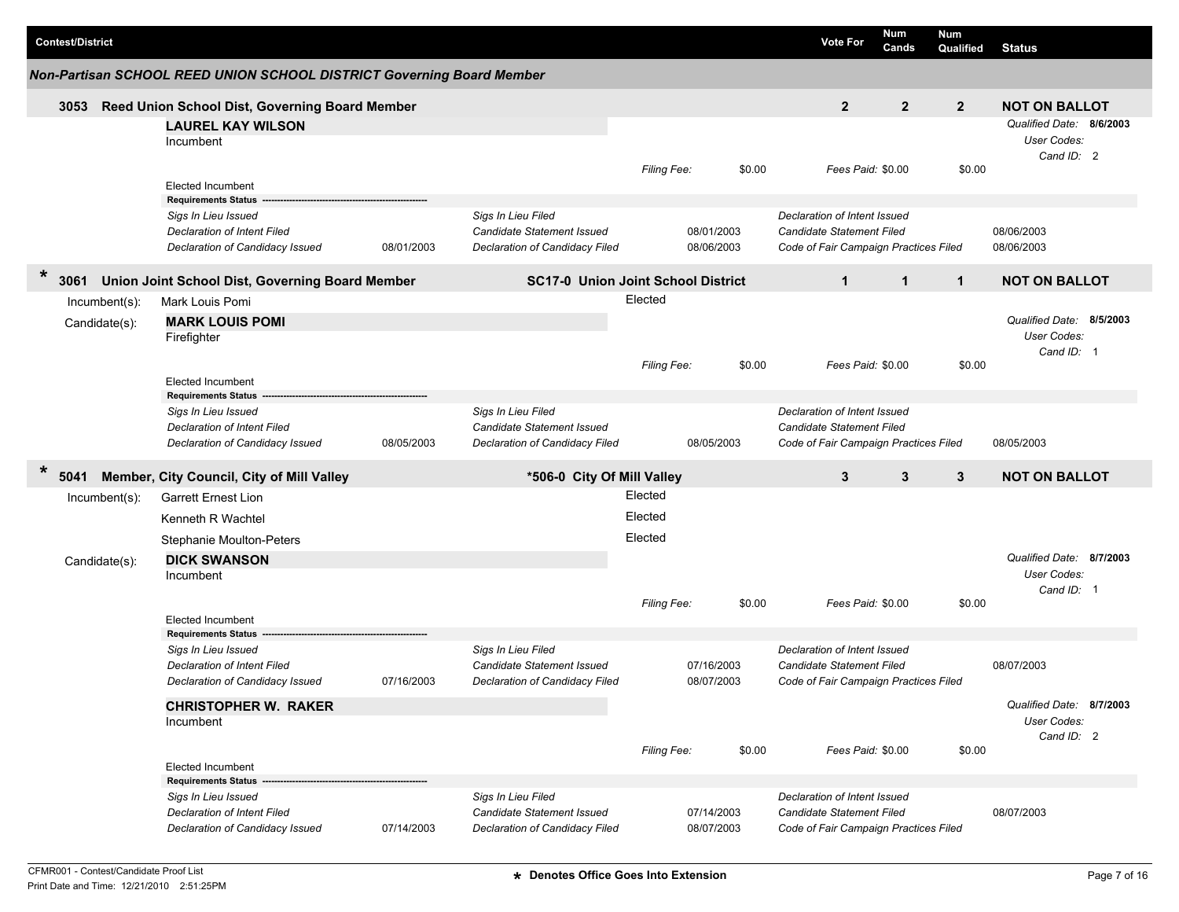| <b>Contest/District</b> |                                                                                              |            |                                                                                    |                    |                          |        | <b>Vote For</b>                                                                                           | Num<br>Cands     | Num<br>Qualified                                      | <b>Status</b>                                         |
|-------------------------|----------------------------------------------------------------------------------------------|------------|------------------------------------------------------------------------------------|--------------------|--------------------------|--------|-----------------------------------------------------------------------------------------------------------|------------------|-------------------------------------------------------|-------------------------------------------------------|
|                         | Non-Partisan SCHOOL REED UNION SCHOOL DISTRICT Governing Board Member                        |            |                                                                                    |                    |                          |        |                                                                                                           |                  |                                                       |                                                       |
| 3053                    | Reed Union School Dist, Governing Board Member                                               |            |                                                                                    |                    |                          |        | $\mathbf{2}$                                                                                              | $\boldsymbol{2}$ | $\boldsymbol{2}$                                      | <b>NOT ON BALLOT</b>                                  |
|                         | <b>LAUREL KAY WILSON</b><br>Incumbent                                                        |            |                                                                                    |                    |                          |        |                                                                                                           |                  |                                                       | Qualified Date: 8/6/2003<br>User Codes:<br>Cand ID: 2 |
|                         | <b>Elected Incumbent</b><br><b>Requirements Status</b>                                       |            |                                                                                    | Filing Fee:        |                          | \$0.00 | Fees Paid: \$0.00                                                                                         |                  | \$0.00                                                |                                                       |
|                         | Sigs In Lieu Issued<br>Declaration of Intent Filed<br>Declaration of Candidacy Issued        | 08/01/2003 | Sigs In Lieu Filed<br>Candidate Statement Issued<br>Declaration of Candidacy Filed |                    | 08/01/2003<br>08/06/2003 |        | Declaration of Intent Issued<br><b>Candidate Statement Filed</b><br>Code of Fair Campaign Practices Filed |                  |                                                       | 08/06/2003<br>08/06/2003                              |
| $\ast$<br>3061          | Union Joint School Dist, Governing Board Member                                              |            | <b>SC17-0 Union Joint School District</b>                                          |                    |                          |        | $\mathbf{1}$                                                                                              | $\mathbf{1}$     | $\mathbf{1}$                                          | <b>NOT ON BALLOT</b>                                  |
| Incumbent(s):           | Mark Louis Pomi                                                                              |            |                                                                                    | Elected            |                          |        |                                                                                                           |                  |                                                       |                                                       |
| Candidate(s):           | <b>MARK LOUIS POMI</b><br>Firefighter<br><b>Elected Incumbent</b>                            |            |                                                                                    | <b>Filing Fee:</b> |                          | \$0.00 | Fees Paid: \$0.00                                                                                         |                  | \$0.00                                                | Qualified Date: 8/5/2003<br>User Codes:<br>Cand ID: 1 |
|                         | <b>Requirements Status</b>                                                                   |            |                                                                                    |                    |                          |        |                                                                                                           |                  |                                                       |                                                       |
|                         | Sigs In Lieu Issued<br><b>Declaration of Intent Filed</b><br>Declaration of Candidacy Issued | 08/05/2003 | Sigs In Lieu Filed<br>Candidate Statement Issued<br>Declaration of Candidacy Filed |                    | 08/05/2003               |        | Declaration of Intent Issued<br><b>Candidate Statement Filed</b><br>Code of Fair Campaign Practices Filed |                  |                                                       | 08/05/2003                                            |
| $\ast$<br>5041          | Member, City Council, City of Mill Valley                                                    |            | *506-0 City Of Mill Valley                                                         |                    |                          |        | 3                                                                                                         | 3                | 3                                                     | <b>NOT ON BALLOT</b>                                  |
| Incumbent(s):           | <b>Garrett Ernest Lion</b>                                                                   |            |                                                                                    | Elected            |                          |        |                                                                                                           |                  |                                                       |                                                       |
|                         | Kenneth R Wachtel                                                                            |            |                                                                                    | Elected            |                          |        |                                                                                                           |                  |                                                       |                                                       |
|                         | Stephanie Moulton-Peters                                                                     |            |                                                                                    | Elected            |                          |        |                                                                                                           |                  |                                                       |                                                       |
| Candidate(s):           | <b>DICK SWANSON</b><br>Incumbent                                                             |            |                                                                                    |                    |                          |        |                                                                                                           |                  |                                                       | Qualified Date: 8/7/2003<br>User Codes:<br>Cand ID: 1 |
|                         | <b>Elected Incumbent</b>                                                                     |            |                                                                                    | <b>Filing Fee:</b> |                          | \$0.00 | Fees Paid: \$0.00                                                                                         |                  | \$0.00                                                |                                                       |
|                         | <b>Requirements Status</b>                                                                   |            |                                                                                    |                    |                          |        |                                                                                                           |                  |                                                       |                                                       |
|                         | Sigs In Lieu Issued<br>Declaration of Intent Filed<br>Declaration of Candidacy Issued        | 07/16/2003 | Sigs In Lieu Filed<br>Candidate Statement Issued<br>Declaration of Candidacy Filed |                    | 07/16/2003<br>08/07/2003 |        | Declaration of Intent Issued<br><b>Candidate Statement Filed</b><br>Code of Fair Campaign Practices Filed |                  |                                                       | 08/07/2003                                            |
|                         | <b>CHRISTOPHER W. RAKER</b><br>Incumbent                                                     |            |                                                                                    |                    |                          |        |                                                                                                           |                  | Qualified Date: 8/7/2003<br>User Codes:<br>Cand ID: 2 |                                                       |
|                         | Elected Incumbent                                                                            |            |                                                                                    | Filing Fee:        |                          | \$0.00 | Fees Paid: \$0.00                                                                                         |                  | \$0.00                                                |                                                       |
|                         | <b>Requirements Status</b>                                                                   |            |                                                                                    |                    |                          |        |                                                                                                           |                  |                                                       |                                                       |
|                         | Sigs In Lieu Issued<br><b>Declaration of Intent Filed</b><br>Declaration of Candidacy Issued | 07/14/2003 | Sigs In Lieu Filed<br>Candidate Statement Issued<br>Declaration of Candidacy Filed |                    | 07/14/2003<br>08/07/2003 |        | Declaration of Intent Issued<br><b>Candidate Statement Filed</b><br>Code of Fair Campaign Practices Filed |                  |                                                       | 08/07/2003                                            |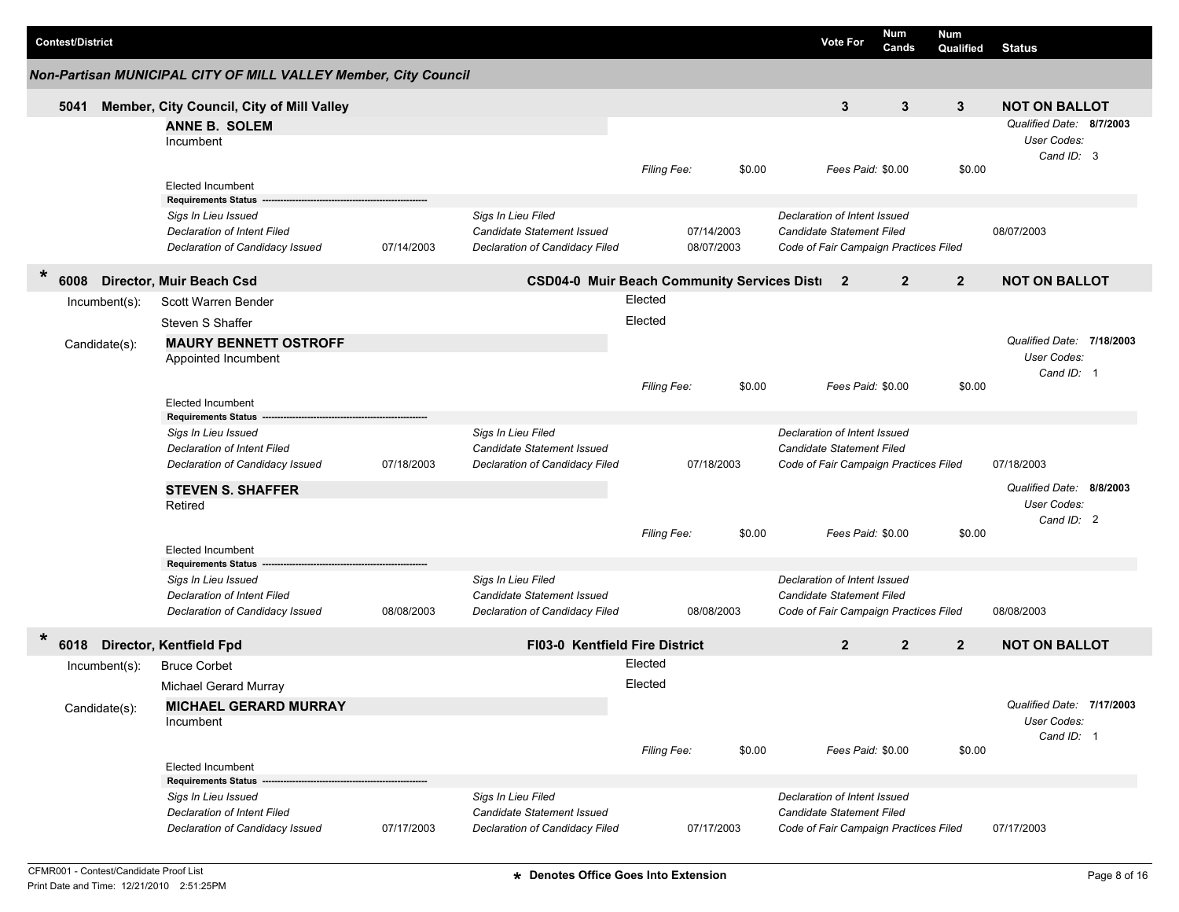| <b>Contest/District</b> |                                                                 |            |                                                      |             |            | <b>Vote For</b>                       | Num<br>Cands   | <b>Num</b><br>Qualified | <b>Status</b>             |
|-------------------------|-----------------------------------------------------------------|------------|------------------------------------------------------|-------------|------------|---------------------------------------|----------------|-------------------------|---------------------------|
|                         | Non-Partisan MUNICIPAL CITY OF MILL VALLEY Member, City Council |            |                                                      |             |            |                                       |                |                         |                           |
| 5041                    | Member, City Council, City of Mill Valley                       |            |                                                      |             |            | 3                                     | 3              | 3                       | <b>NOT ON BALLOT</b>      |
|                         | <b>ANNE B. SOLEM</b>                                            |            |                                                      |             |            |                                       |                |                         | Qualified Date: 8/7/2003  |
|                         | Incumbent                                                       |            |                                                      |             |            |                                       |                |                         | User Codes:               |
|                         |                                                                 |            |                                                      | Filing Fee: | \$0.00     | Fees Paid: \$0.00                     |                | \$0.00                  | Cand ID: 3                |
|                         | <b>Elected Incumbent</b>                                        |            |                                                      |             |            |                                       |                |                         |                           |
|                         | <b>Requirements Status</b>                                      |            |                                                      |             |            |                                       |                |                         |                           |
|                         | Sigs In Lieu Issued                                             |            | Sigs In Lieu Filed                                   |             |            | Declaration of Intent Issued          |                |                         |                           |
|                         | Declaration of Intent Filed                                     |            | Candidate Statement Issued                           |             | 07/14/2003 | Candidate Statement Filed             |                |                         | 08/07/2003                |
|                         | Declaration of Candidacy Issued                                 | 07/14/2003 | Declaration of Candidacy Filed                       |             | 08/07/2003 | Code of Fair Campaign Practices Filed |                |                         |                           |
| *<br>6008               | Director, Muir Beach Csd                                        |            | <b>CSD04-0 Muir Beach Community Services Disti</b> 2 |             |            |                                       | $\mathbf{2}$   | $\overline{2}$          | <b>NOT ON BALLOT</b>      |
| Incumbent(s):           | Scott Warren Bender                                             |            |                                                      | Elected     |            |                                       |                |                         |                           |
|                         | Steven S Shaffer                                                |            |                                                      | Elected     |            |                                       |                |                         |                           |
| Candidate(s):           | <b>MAURY BENNETT OSTROFF</b>                                    |            |                                                      |             |            |                                       |                |                         | Qualified Date: 7/18/2003 |
|                         | Appointed Incumbent                                             |            |                                                      |             |            |                                       |                |                         | User Codes:               |
|                         |                                                                 |            |                                                      |             |            |                                       |                |                         | Cand ID: 1                |
|                         |                                                                 |            |                                                      | Filing Fee: | \$0.00     | Fees Paid: \$0.00                     |                | \$0.00                  |                           |
|                         | Elected Incumbent<br><b>Requirements Status</b>                 |            |                                                      |             |            |                                       |                |                         |                           |
|                         | Sigs In Lieu Issued                                             |            | Sigs In Lieu Filed                                   |             |            | Declaration of Intent Issued          |                |                         |                           |
|                         | Declaration of Intent Filed                                     |            | Candidate Statement Issued                           |             |            | Candidate Statement Filed             |                |                         |                           |
|                         | Declaration of Candidacy Issued                                 | 07/18/2003 | Declaration of Candidacy Filed                       |             | 07/18/2003 | Code of Fair Campaign Practices Filed |                |                         | 07/18/2003                |
|                         | <b>STEVEN S. SHAFFER</b>                                        |            |                                                      |             |            |                                       |                |                         | Qualified Date: 8/8/2003  |
|                         | Retired                                                         |            |                                                      |             |            |                                       |                |                         | User Codes:               |
|                         |                                                                 |            |                                                      |             |            |                                       |                |                         | Cand ID: 2                |
|                         | <b>Elected Incumbent</b>                                        |            |                                                      | Filing Fee: | \$0.00     | Fees Paid: \$0.00                     |                | \$0.00                  |                           |
|                         | <b>Requirements Status</b>                                      |            |                                                      |             |            |                                       |                |                         |                           |
|                         | Sigs In Lieu Issued                                             |            | Sigs In Lieu Filed                                   |             |            | Declaration of Intent Issued          |                |                         |                           |
|                         | Declaration of Intent Filed                                     |            | Candidate Statement Issued                           |             |            | Candidate Statement Filed             |                |                         |                           |
|                         | Declaration of Candidacy Issued                                 | 08/08/2003 | Declaration of Candidacy Filed                       |             | 08/08/2003 | Code of Fair Campaign Practices Filed |                |                         | 08/08/2003                |
| 6018                    | Director, Kentfield Fpd                                         |            | <b>FI03-0 Kentfield Fire District</b>                |             |            | $\overline{2}$                        | $\overline{2}$ | $\overline{2}$          | <b>NOT ON BALLOT</b>      |
| Incumbent(s):           | <b>Bruce Corbet</b>                                             |            |                                                      | Elected     |            |                                       |                |                         |                           |
|                         | Michael Gerard Murray                                           |            |                                                      | Elected     |            |                                       |                |                         |                           |
| Candidate(s):           | <b>MICHAEL GERARD MURRAY</b>                                    |            |                                                      |             |            |                                       |                |                         | Qualified Date: 7/17/2003 |
|                         | Incumbent                                                       |            |                                                      |             |            |                                       |                |                         | User Codes:               |
|                         |                                                                 |            |                                                      |             |            |                                       |                |                         | Cand ID: 1                |
|                         | Elected Incumbent                                               |            |                                                      | Filing Fee: | \$0.00     | Fees Paid: \$0.00                     |                | \$0.00                  |                           |
|                         | <b>Requirements Status</b>                                      |            |                                                      |             |            |                                       |                |                         |                           |
|                         | Sigs In Lieu Issued                                             |            | Sigs In Lieu Filed                                   |             |            | Declaration of Intent Issued          |                |                         |                           |
|                         | Declaration of Intent Filed                                     |            | Candidate Statement Issued                           |             |            | Candidate Statement Filed             |                |                         |                           |
|                         | Declaration of Candidacy Issued                                 | 07/17/2003 | Declaration of Candidacy Filed                       |             | 07/17/2003 | Code of Fair Campaign Practices Filed |                |                         | 07/17/2003                |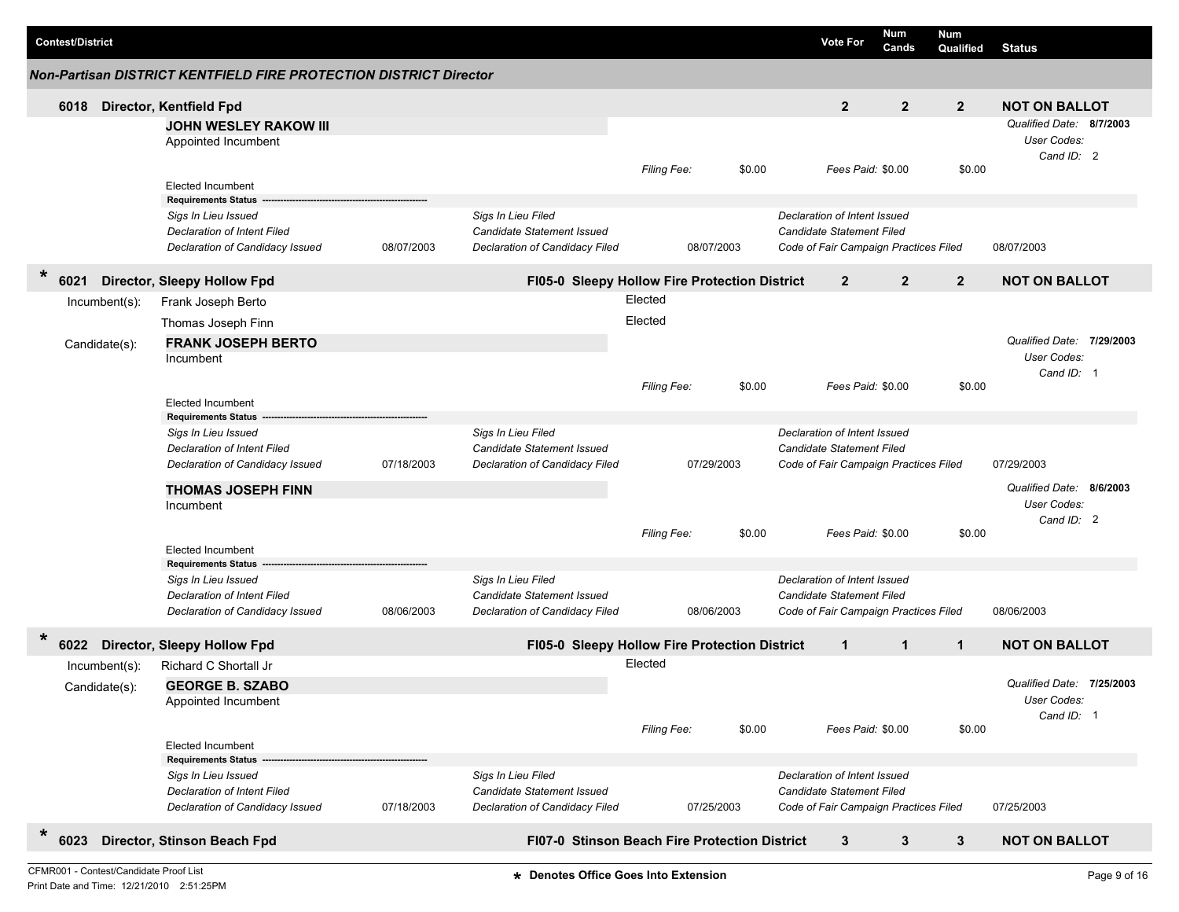| <b>Non-Partisan DISTRICT KENTFIELD FIRE PROTECTION DISTRICT Director</b><br>$\overline{2}$<br>$\overline{2}$<br>$\overline{2}$<br><b>NOT ON BALLOT</b><br>Director, Kentfield Fpd<br>6018<br>Qualified Date: 8/7/2003<br><b>JOHN WESLEY RAKOW III</b><br>User Codes:<br>Appointed Incumbent<br>Cand ID: 2<br>Filing Fee:<br>\$0.00<br>Fees Paid: \$0.00<br>\$0.00<br><b>Elected Incumbent</b><br><b>Requirements Status</b><br>Sigs In Lieu Filed<br>Declaration of Intent Issued<br>Sigs In Lieu Issued<br><b>Candidate Statement Issued</b><br><b>Candidate Statement Filed</b><br>Declaration of Intent Filed<br>08/07/2003<br>Declaration of Candidacy Filed<br>Code of Fair Campaign Practices Filed<br>08/07/2003<br>Declaration of Candidacy Issued<br>08/07/2003<br>*<br>$\overline{2}$<br>$\overline{2}$<br>$\overline{2}$<br><b>NOT ON BALLOT</b><br>Director, Sleepy Hollow Fpd<br>FI05-0 Sleepy Hollow Fire Protection District<br>6021<br>Elected<br>Frank Joseph Berto<br>Incumbent(s):<br>Elected<br>Thomas Joseph Finn<br>Qualified Date: 7/29/2003<br><b>FRANK JOSEPH BERTO</b><br>Candidate(s):<br>User Codes:<br>Incumbent<br>Cand ID: 1<br>\$0.00<br>Fees Paid: \$0.00<br>\$0.00<br><b>Filing Fee:</b><br><b>Elected Incumbent</b><br><b>Requirements Status</b><br>Sigs In Lieu Filed<br>Declaration of Intent Issued<br>Sigs In Lieu Issued<br>Declaration of Intent Filed<br><b>Candidate Statement Issued</b><br><b>Candidate Statement Filed</b><br>07/18/2003<br>07/29/2003<br>Declaration of Candidacy Issued<br>Declaration of Candidacy Filed<br>07/29/2003<br>Code of Fair Campaign Practices Filed<br>Qualified Date: 8/6/2003<br><b>THOMAS JOSEPH FINN</b><br>User Codes:<br>Incumbent<br>Cand ID: 2<br>\$0.00<br>\$0.00<br>Filing Fee:<br>Fees Paid: \$0.00<br><b>Elected Incumbent</b><br><b>Requirements Status</b><br>Sigs In Lieu Filed<br>Declaration of Intent Issued<br>Sigs In Lieu Issued<br>Declaration of Intent Filed<br><b>Candidate Statement Issued</b><br>Candidate Statement Filed<br>08/06/2003<br>Code of Fair Campaign Practices Filed<br>Declaration of Candidacy Issued<br>Declaration of Candidacy Filed<br>08/06/2003<br>08/06/2003<br>Director, Sleepy Hollow Fpd<br>$\mathbf{1}$<br>$\mathbf{1}$<br>6022<br>FI05-0 Sleepy Hollow Fire Protection District<br>$\mathbf{1}$<br><b>NOT ON BALLOT</b><br>Elected<br>Richard C Shortall Jr<br>Incumbent(s):<br>Qualified Date: 7/25/2003<br><b>GEORGE B. SZABO</b><br>Candidate(s):<br>User Codes:<br>Appointed Incumbent<br>Cand ID: 1<br>\$0.00<br>Filing Fee:<br>Fees Paid: \$0.00<br>\$0.00<br><b>Elected Incumbent</b><br><b>Requirements Status</b><br>Sigs In Lieu Filed<br>Declaration of Intent Issued<br>Sigs In Lieu Issued<br>Declaration of Intent Filed<br>Candidate Statement Issued<br>Candidate Statement Filed<br>Declaration of Candidacy Issued<br>07/18/2003<br>Declaration of Candidacy Filed<br>07/25/2003<br>Code of Fair Campaign Practices Filed<br>07/25/2003<br>$\ast$<br>Director, Stinson Beach Fpd<br>3<br>$\mathbf{3}$<br>6023<br>FI07-0 Stinson Beach Fire Protection District<br>3<br><b>NOT ON BALLOT</b> | <b>Contest/District</b> |  |  |  |  | <b>Vote For</b> | Num<br>Cands | Num<br>Qualified | <b>Status</b> |  |
|----------------------------------------------------------------------------------------------------------------------------------------------------------------------------------------------------------------------------------------------------------------------------------------------------------------------------------------------------------------------------------------------------------------------------------------------------------------------------------------------------------------------------------------------------------------------------------------------------------------------------------------------------------------------------------------------------------------------------------------------------------------------------------------------------------------------------------------------------------------------------------------------------------------------------------------------------------------------------------------------------------------------------------------------------------------------------------------------------------------------------------------------------------------------------------------------------------------------------------------------------------------------------------------------------------------------------------------------------------------------------------------------------------------------------------------------------------------------------------------------------------------------------------------------------------------------------------------------------------------------------------------------------------------------------------------------------------------------------------------------------------------------------------------------------------------------------------------------------------------------------------------------------------------------------------------------------------------------------------------------------------------------------------------------------------------------------------------------------------------------------------------------------------------------------------------------------------------------------------------------------------------------------------------------------------------------------------------------------------------------------------------------------------------------------------------------------------------------------------------------------------------------------------------------------------------------------------------------------------------------------------------------------------------------------------------------------------------------------------------------------------------------------------------------------------------------------------------------------------------------------------------------------------------------------------------------------------------------------------------------------------------------------------------------------------------------------------------------------------------------------------------------------|-------------------------|--|--|--|--|-----------------|--------------|------------------|---------------|--|
|                                                                                                                                                                                                                                                                                                                                                                                                                                                                                                                                                                                                                                                                                                                                                                                                                                                                                                                                                                                                                                                                                                                                                                                                                                                                                                                                                                                                                                                                                                                                                                                                                                                                                                                                                                                                                                                                                                                                                                                                                                                                                                                                                                                                                                                                                                                                                                                                                                                                                                                                                                                                                                                                                                                                                                                                                                                                                                                                                                                                                                                                                                                                                    |                         |  |  |  |  |                 |              |                  |               |  |
|                                                                                                                                                                                                                                                                                                                                                                                                                                                                                                                                                                                                                                                                                                                                                                                                                                                                                                                                                                                                                                                                                                                                                                                                                                                                                                                                                                                                                                                                                                                                                                                                                                                                                                                                                                                                                                                                                                                                                                                                                                                                                                                                                                                                                                                                                                                                                                                                                                                                                                                                                                                                                                                                                                                                                                                                                                                                                                                                                                                                                                                                                                                                                    |                         |  |  |  |  |                 |              |                  |               |  |
|                                                                                                                                                                                                                                                                                                                                                                                                                                                                                                                                                                                                                                                                                                                                                                                                                                                                                                                                                                                                                                                                                                                                                                                                                                                                                                                                                                                                                                                                                                                                                                                                                                                                                                                                                                                                                                                                                                                                                                                                                                                                                                                                                                                                                                                                                                                                                                                                                                                                                                                                                                                                                                                                                                                                                                                                                                                                                                                                                                                                                                                                                                                                                    |                         |  |  |  |  |                 |              |                  |               |  |
|                                                                                                                                                                                                                                                                                                                                                                                                                                                                                                                                                                                                                                                                                                                                                                                                                                                                                                                                                                                                                                                                                                                                                                                                                                                                                                                                                                                                                                                                                                                                                                                                                                                                                                                                                                                                                                                                                                                                                                                                                                                                                                                                                                                                                                                                                                                                                                                                                                                                                                                                                                                                                                                                                                                                                                                                                                                                                                                                                                                                                                                                                                                                                    |                         |  |  |  |  |                 |              |                  |               |  |
|                                                                                                                                                                                                                                                                                                                                                                                                                                                                                                                                                                                                                                                                                                                                                                                                                                                                                                                                                                                                                                                                                                                                                                                                                                                                                                                                                                                                                                                                                                                                                                                                                                                                                                                                                                                                                                                                                                                                                                                                                                                                                                                                                                                                                                                                                                                                                                                                                                                                                                                                                                                                                                                                                                                                                                                                                                                                                                                                                                                                                                                                                                                                                    |                         |  |  |  |  |                 |              |                  |               |  |
|                                                                                                                                                                                                                                                                                                                                                                                                                                                                                                                                                                                                                                                                                                                                                                                                                                                                                                                                                                                                                                                                                                                                                                                                                                                                                                                                                                                                                                                                                                                                                                                                                                                                                                                                                                                                                                                                                                                                                                                                                                                                                                                                                                                                                                                                                                                                                                                                                                                                                                                                                                                                                                                                                                                                                                                                                                                                                                                                                                                                                                                                                                                                                    |                         |  |  |  |  |                 |              |                  |               |  |
|                                                                                                                                                                                                                                                                                                                                                                                                                                                                                                                                                                                                                                                                                                                                                                                                                                                                                                                                                                                                                                                                                                                                                                                                                                                                                                                                                                                                                                                                                                                                                                                                                                                                                                                                                                                                                                                                                                                                                                                                                                                                                                                                                                                                                                                                                                                                                                                                                                                                                                                                                                                                                                                                                                                                                                                                                                                                                                                                                                                                                                                                                                                                                    |                         |  |  |  |  |                 |              |                  |               |  |
|                                                                                                                                                                                                                                                                                                                                                                                                                                                                                                                                                                                                                                                                                                                                                                                                                                                                                                                                                                                                                                                                                                                                                                                                                                                                                                                                                                                                                                                                                                                                                                                                                                                                                                                                                                                                                                                                                                                                                                                                                                                                                                                                                                                                                                                                                                                                                                                                                                                                                                                                                                                                                                                                                                                                                                                                                                                                                                                                                                                                                                                                                                                                                    |                         |  |  |  |  |                 |              |                  |               |  |
|                                                                                                                                                                                                                                                                                                                                                                                                                                                                                                                                                                                                                                                                                                                                                                                                                                                                                                                                                                                                                                                                                                                                                                                                                                                                                                                                                                                                                                                                                                                                                                                                                                                                                                                                                                                                                                                                                                                                                                                                                                                                                                                                                                                                                                                                                                                                                                                                                                                                                                                                                                                                                                                                                                                                                                                                                                                                                                                                                                                                                                                                                                                                                    |                         |  |  |  |  |                 |              |                  |               |  |
|                                                                                                                                                                                                                                                                                                                                                                                                                                                                                                                                                                                                                                                                                                                                                                                                                                                                                                                                                                                                                                                                                                                                                                                                                                                                                                                                                                                                                                                                                                                                                                                                                                                                                                                                                                                                                                                                                                                                                                                                                                                                                                                                                                                                                                                                                                                                                                                                                                                                                                                                                                                                                                                                                                                                                                                                                                                                                                                                                                                                                                                                                                                                                    |                         |  |  |  |  |                 |              |                  |               |  |
|                                                                                                                                                                                                                                                                                                                                                                                                                                                                                                                                                                                                                                                                                                                                                                                                                                                                                                                                                                                                                                                                                                                                                                                                                                                                                                                                                                                                                                                                                                                                                                                                                                                                                                                                                                                                                                                                                                                                                                                                                                                                                                                                                                                                                                                                                                                                                                                                                                                                                                                                                                                                                                                                                                                                                                                                                                                                                                                                                                                                                                                                                                                                                    |                         |  |  |  |  |                 |              |                  |               |  |
|                                                                                                                                                                                                                                                                                                                                                                                                                                                                                                                                                                                                                                                                                                                                                                                                                                                                                                                                                                                                                                                                                                                                                                                                                                                                                                                                                                                                                                                                                                                                                                                                                                                                                                                                                                                                                                                                                                                                                                                                                                                                                                                                                                                                                                                                                                                                                                                                                                                                                                                                                                                                                                                                                                                                                                                                                                                                                                                                                                                                                                                                                                                                                    |                         |  |  |  |  |                 |              |                  |               |  |
|                                                                                                                                                                                                                                                                                                                                                                                                                                                                                                                                                                                                                                                                                                                                                                                                                                                                                                                                                                                                                                                                                                                                                                                                                                                                                                                                                                                                                                                                                                                                                                                                                                                                                                                                                                                                                                                                                                                                                                                                                                                                                                                                                                                                                                                                                                                                                                                                                                                                                                                                                                                                                                                                                                                                                                                                                                                                                                                                                                                                                                                                                                                                                    |                         |  |  |  |  |                 |              |                  |               |  |
|                                                                                                                                                                                                                                                                                                                                                                                                                                                                                                                                                                                                                                                                                                                                                                                                                                                                                                                                                                                                                                                                                                                                                                                                                                                                                                                                                                                                                                                                                                                                                                                                                                                                                                                                                                                                                                                                                                                                                                                                                                                                                                                                                                                                                                                                                                                                                                                                                                                                                                                                                                                                                                                                                                                                                                                                                                                                                                                                                                                                                                                                                                                                                    |                         |  |  |  |  |                 |              |                  |               |  |
|                                                                                                                                                                                                                                                                                                                                                                                                                                                                                                                                                                                                                                                                                                                                                                                                                                                                                                                                                                                                                                                                                                                                                                                                                                                                                                                                                                                                                                                                                                                                                                                                                                                                                                                                                                                                                                                                                                                                                                                                                                                                                                                                                                                                                                                                                                                                                                                                                                                                                                                                                                                                                                                                                                                                                                                                                                                                                                                                                                                                                                                                                                                                                    |                         |  |  |  |  |                 |              |                  |               |  |
|                                                                                                                                                                                                                                                                                                                                                                                                                                                                                                                                                                                                                                                                                                                                                                                                                                                                                                                                                                                                                                                                                                                                                                                                                                                                                                                                                                                                                                                                                                                                                                                                                                                                                                                                                                                                                                                                                                                                                                                                                                                                                                                                                                                                                                                                                                                                                                                                                                                                                                                                                                                                                                                                                                                                                                                                                                                                                                                                                                                                                                                                                                                                                    |                         |  |  |  |  |                 |              |                  |               |  |
|                                                                                                                                                                                                                                                                                                                                                                                                                                                                                                                                                                                                                                                                                                                                                                                                                                                                                                                                                                                                                                                                                                                                                                                                                                                                                                                                                                                                                                                                                                                                                                                                                                                                                                                                                                                                                                                                                                                                                                                                                                                                                                                                                                                                                                                                                                                                                                                                                                                                                                                                                                                                                                                                                                                                                                                                                                                                                                                                                                                                                                                                                                                                                    |                         |  |  |  |  |                 |              |                  |               |  |
|                                                                                                                                                                                                                                                                                                                                                                                                                                                                                                                                                                                                                                                                                                                                                                                                                                                                                                                                                                                                                                                                                                                                                                                                                                                                                                                                                                                                                                                                                                                                                                                                                                                                                                                                                                                                                                                                                                                                                                                                                                                                                                                                                                                                                                                                                                                                                                                                                                                                                                                                                                                                                                                                                                                                                                                                                                                                                                                                                                                                                                                                                                                                                    |                         |  |  |  |  |                 |              |                  |               |  |
|                                                                                                                                                                                                                                                                                                                                                                                                                                                                                                                                                                                                                                                                                                                                                                                                                                                                                                                                                                                                                                                                                                                                                                                                                                                                                                                                                                                                                                                                                                                                                                                                                                                                                                                                                                                                                                                                                                                                                                                                                                                                                                                                                                                                                                                                                                                                                                                                                                                                                                                                                                                                                                                                                                                                                                                                                                                                                                                                                                                                                                                                                                                                                    |                         |  |  |  |  |                 |              |                  |               |  |
|                                                                                                                                                                                                                                                                                                                                                                                                                                                                                                                                                                                                                                                                                                                                                                                                                                                                                                                                                                                                                                                                                                                                                                                                                                                                                                                                                                                                                                                                                                                                                                                                                                                                                                                                                                                                                                                                                                                                                                                                                                                                                                                                                                                                                                                                                                                                                                                                                                                                                                                                                                                                                                                                                                                                                                                                                                                                                                                                                                                                                                                                                                                                                    |                         |  |  |  |  |                 |              |                  |               |  |
|                                                                                                                                                                                                                                                                                                                                                                                                                                                                                                                                                                                                                                                                                                                                                                                                                                                                                                                                                                                                                                                                                                                                                                                                                                                                                                                                                                                                                                                                                                                                                                                                                                                                                                                                                                                                                                                                                                                                                                                                                                                                                                                                                                                                                                                                                                                                                                                                                                                                                                                                                                                                                                                                                                                                                                                                                                                                                                                                                                                                                                                                                                                                                    |                         |  |  |  |  |                 |              |                  |               |  |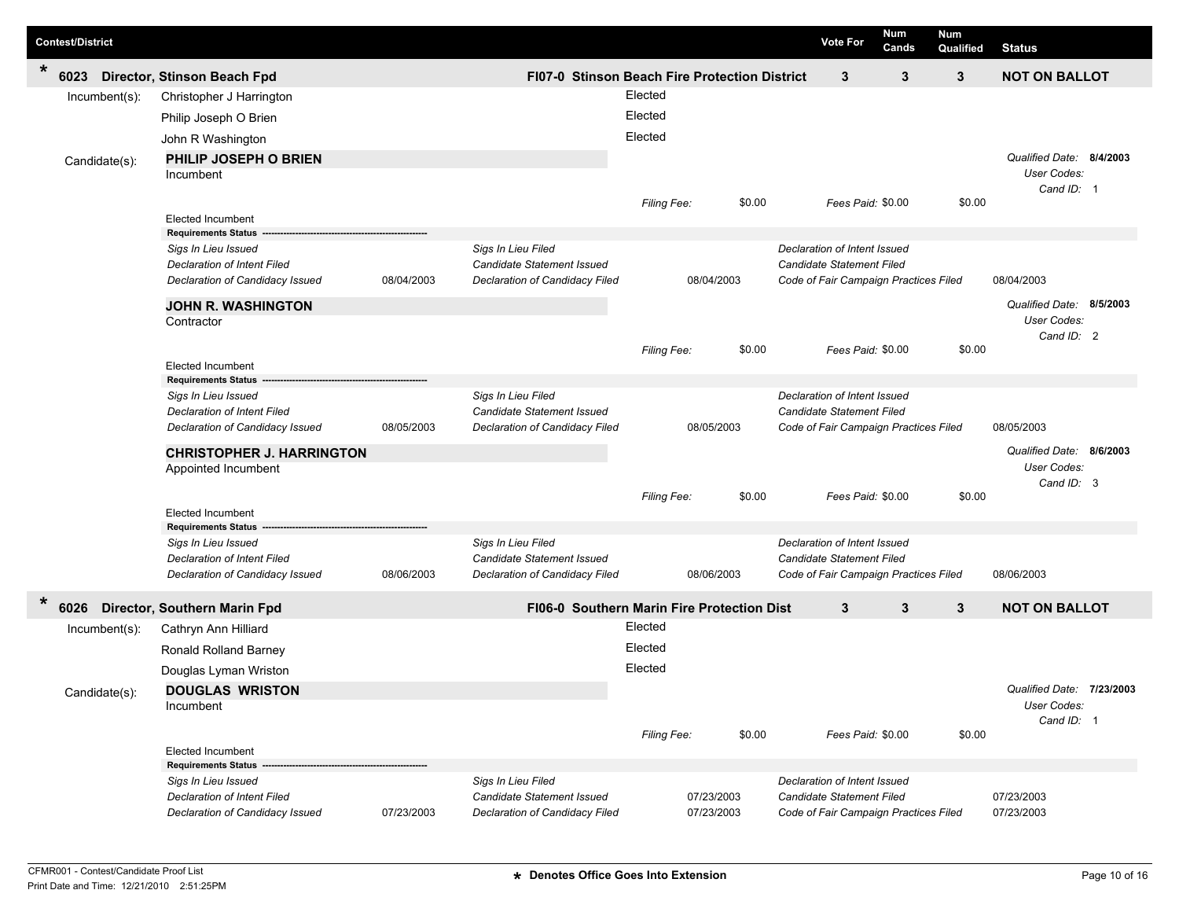|        | <b>Contest/District</b> |                  |                                    |            |                                            |                                                      |            |        | <b>Vote For</b>                       | Num<br>Cands | <b>Num</b><br>Qualified | <b>Status</b>             |  |
|--------|-------------------------|------------------|------------------------------------|------------|--------------------------------------------|------------------------------------------------------|------------|--------|---------------------------------------|--------------|-------------------------|---------------------------|--|
| $\ast$ | 6023                    |                  | Director, Stinson Beach Fpd        |            |                                            | <b>FI07-0 Stinson Beach Fire Protection District</b> |            |        | 3                                     | 3            | 3                       | <b>NOT ON BALLOT</b>      |  |
|        |                         | $Incumbent(s)$ : | Christopher J Harrington           |            |                                            | Elected                                              |            |        |                                       |              |                         |                           |  |
|        |                         |                  | Philip Joseph O Brien              |            |                                            | Elected                                              |            |        |                                       |              |                         |                           |  |
|        |                         |                  | John R Washington                  |            |                                            | Elected                                              |            |        |                                       |              |                         |                           |  |
|        |                         | Candidate(s):    | PHILIP JOSEPH O BRIEN              |            |                                            |                                                      |            |        |                                       |              |                         | Qualified Date: 8/4/2003  |  |
|        |                         |                  | Incumbent                          |            |                                            |                                                      |            |        |                                       |              |                         | User Codes:               |  |
|        |                         |                  |                                    |            |                                            |                                                      |            | \$0.00 | Fees Paid: \$0.00                     |              | \$0.00                  | Cand ID: 1                |  |
|        |                         |                  | <b>Elected Incumbent</b>           |            |                                            | <b>Filing Fee:</b>                                   |            |        |                                       |              |                         |                           |  |
|        |                         |                  | <b>Requirements Status</b>         |            |                                            |                                                      |            |        |                                       |              |                         |                           |  |
|        |                         |                  | Sigs In Lieu Issued                |            | Sigs In Lieu Filed                         |                                                      |            |        | Declaration of Intent Issued          |              |                         |                           |  |
|        |                         |                  | <b>Declaration of Intent Filed</b> |            | Candidate Statement Issued                 |                                                      |            |        | Candidate Statement Filed             |              |                         |                           |  |
|        |                         |                  | Declaration of Candidacy Issued    | 08/04/2003 | Declaration of Candidacy Filed             |                                                      | 08/04/2003 |        | Code of Fair Campaign Practices Filed |              |                         | 08/04/2003                |  |
|        |                         |                  | <b>JOHN R. WASHINGTON</b>          |            |                                            |                                                      |            |        |                                       |              |                         | Qualified Date: 8/5/2003  |  |
|        |                         |                  | Contractor                         |            |                                            |                                                      |            |        |                                       |              |                         | User Codes:               |  |
|        |                         |                  |                                    |            |                                            | <b>Filing Fee:</b>                                   |            | \$0.00 | Fees Paid: \$0.00                     |              | \$0.00                  | Cand ID: 2                |  |
|        |                         |                  | <b>Elected Incumbent</b>           |            |                                            |                                                      |            |        |                                       |              |                         |                           |  |
|        |                         |                  | <b>Requirements Status</b>         |            |                                            |                                                      |            |        |                                       |              |                         |                           |  |
|        |                         |                  | Sigs In Lieu Issued                |            | Sigs In Lieu Filed                         |                                                      |            |        | Declaration of Intent Issued          |              |                         |                           |  |
|        |                         |                  | <b>Declaration of Intent Filed</b> |            | Candidate Statement Issued                 |                                                      |            |        | Candidate Statement Filed             |              |                         |                           |  |
|        |                         |                  | Declaration of Candidacy Issued    | 08/05/2003 | Declaration of Candidacy Filed             |                                                      | 08/05/2003 |        | Code of Fair Campaign Practices Filed |              |                         | 08/05/2003                |  |
|        |                         |                  | <b>CHRISTOPHER J. HARRINGTON</b>   |            |                                            |                                                      |            |        |                                       |              |                         | Qualified Date: 8/6/2003  |  |
|        |                         |                  | Appointed Incumbent                |            |                                            |                                                      |            |        |                                       |              |                         | User Codes:               |  |
|        |                         |                  |                                    |            |                                            | Filing Fee:                                          |            | \$0.00 | Fees Paid: \$0.00                     |              | \$0.00                  | Cand ID: 3                |  |
|        |                         |                  | <b>Elected Incumbent</b>           |            |                                            |                                                      |            |        |                                       |              |                         |                           |  |
|        |                         |                  | <b>Requirements Status</b>         |            |                                            |                                                      |            |        |                                       |              |                         |                           |  |
|        |                         |                  | Sigs In Lieu Issued                |            | Sigs In Lieu Filed                         |                                                      |            |        | Declaration of Intent Issued          |              |                         |                           |  |
|        |                         |                  | <b>Declaration of Intent Filed</b> | 08/06/2003 | Candidate Statement Issued                 |                                                      | 08/06/2003 |        | Candidate Statement Filed             |              |                         | 08/06/2003                |  |
|        |                         |                  | Declaration of Candidacy Issued    |            | Declaration of Candidacy Filed             |                                                      |            |        | Code of Fair Campaign Practices Filed |              |                         |                           |  |
| $\ast$ | 6026                    |                  | Director, Southern Marin Fpd       |            | FI06-0 Southern Marin Fire Protection Dist |                                                      |            |        | 3                                     | 3            | 3                       | <b>NOT ON BALLOT</b>      |  |
|        |                         | $Incumbent(s)$ : | Cathryn Ann Hilliard               |            |                                            | Elected                                              |            |        |                                       |              |                         |                           |  |
|        |                         |                  | Ronald Rolland Barney              |            |                                            | Elected                                              |            |        |                                       |              |                         |                           |  |
|        |                         |                  | Douglas Lyman Wriston              |            |                                            | Elected                                              |            |        |                                       |              |                         |                           |  |
|        |                         | Candidate(s):    | <b>DOUGLAS WRISTON</b>             |            |                                            |                                                      |            |        |                                       |              |                         | Qualified Date: 7/23/2003 |  |
|        |                         |                  | Incumbent                          |            |                                            |                                                      |            |        |                                       |              |                         | User Codes:               |  |
|        |                         |                  |                                    |            |                                            |                                                      |            |        |                                       |              |                         | Cand ID: 1                |  |
|        |                         |                  | <b>Elected Incumbent</b>           |            |                                            | Filing Fee:                                          |            | \$0.00 | Fees Paid: \$0.00                     |              | \$0.00                  |                           |  |
|        |                         |                  | <b>Requirements Status</b>         |            |                                            |                                                      |            |        |                                       |              |                         |                           |  |
|        |                         |                  | Sigs In Lieu Issued                |            | Sigs In Lieu Filed                         |                                                      |            |        | Declaration of Intent Issued          |              |                         |                           |  |
|        |                         |                  | Declaration of Intent Filed        |            | Candidate Statement Issued                 |                                                      | 07/23/2003 |        | <b>Candidate Statement Filed</b>      |              |                         | 07/23/2003                |  |
|        |                         |                  | Declaration of Candidacy Issued    | 07/23/2003 | Declaration of Candidacy Filed             |                                                      | 07/23/2003 |        | Code of Fair Campaign Practices Filed |              |                         | 07/23/2003                |  |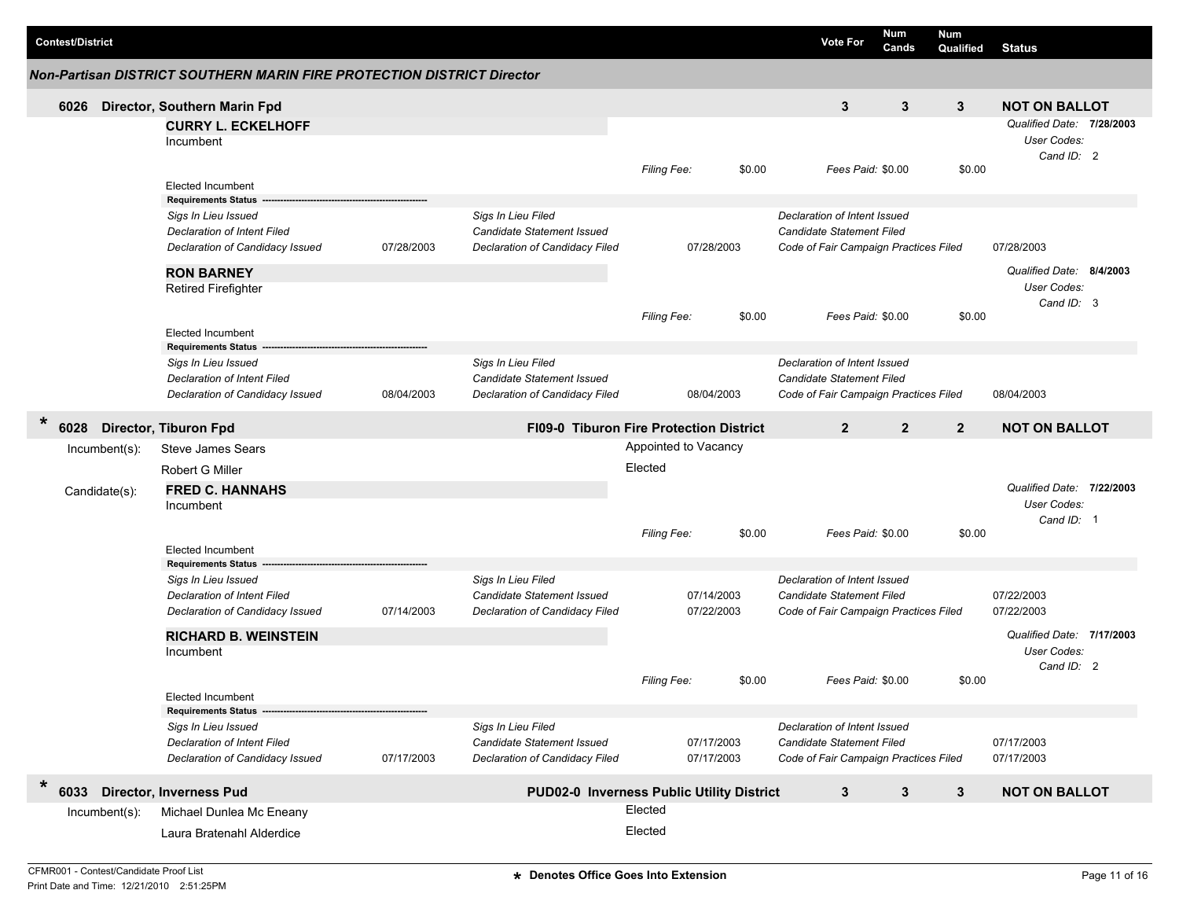|         | <b>Contest/District</b>              |               |                                                                                                                            |                                         |                                                                                    |                      |                          |                | <b>Vote For</b>                                                                                    | <b>Num</b><br>Cands | Num<br>Qualified     | <b>Status</b>                                                 |  |
|---------|--------------------------------------|---------------|----------------------------------------------------------------------------------------------------------------------------|-----------------------------------------|------------------------------------------------------------------------------------|----------------------|--------------------------|----------------|----------------------------------------------------------------------------------------------------|---------------------|----------------------|---------------------------------------------------------------|--|
|         |                                      |               | <b>Non-Partisan DISTRICT SOUTHERN MARIN FIRE PROTECTION DISTRICT Director</b>                                              |                                         |                                                                                    |                      |                          |                |                                                                                                    |                     |                      |                                                               |  |
|         | 6026                                 |               | Director, Southern Marin Fpd                                                                                               |                                         |                                                                                    |                      |                          |                | 3                                                                                                  | 3                   | 3                    | <b>NOT ON BALLOT</b>                                          |  |
|         |                                      |               | <b>CURRY L. ECKELHOFF</b><br>Incumbent                                                                                     |                                         |                                                                                    |                      |                          |                |                                                                                                    |                     |                      | Qualified Date: 7/28/2003<br>User Codes:<br>Cand ID: 2        |  |
|         |                                      |               | <b>Elected Incumbent</b>                                                                                                   |                                         |                                                                                    | Filing Fee:          |                          | \$0.00         | Fees Paid: \$0.00                                                                                  |                     | \$0.00               |                                                               |  |
|         |                                      |               | <b>Requirements Status</b><br>Sigs In Lieu Issued<br><b>Declaration of Intent Filed</b><br>Declaration of Candidacy Issued | 07/28/2003                              | Sigs In Lieu Filed<br>Candidate Statement Issued<br>Declaration of Candidacy Filed |                      | 07/28/2003               |                | Declaration of Intent Issued<br>Candidate Statement Filed<br>Code of Fair Campaign Practices Filed |                     |                      | 07/28/2003                                                    |  |
|         |                                      |               | <b>RON BARNEY</b><br><b>Retired Firefighter</b>                                                                            |                                         |                                                                                    | Filing Fee:          |                          | \$0.00         | Fees Paid: \$0.00                                                                                  |                     | \$0.00               | Qualified Date: 8/4/2003<br>User Codes:<br>Cand ID: 3         |  |
|         |                                      |               | Elected Incumbent                                                                                                          |                                         |                                                                                    |                      |                          |                |                                                                                                    |                     |                      |                                                               |  |
|         |                                      |               | <b>Requirements Status</b><br>Sigs In Lieu Issued<br><b>Declaration of Intent Filed</b><br>Declaration of Candidacy Issued | 08/04/2003                              | Sigs In Lieu Filed<br>Candidate Statement Issued<br>Declaration of Candidacy Filed |                      | 08/04/2003               |                | Declaration of Intent Issued<br>Candidate Statement Filed<br>Code of Fair Campaign Practices Filed |                     |                      | 08/04/2003                                                    |  |
| $\star$ | <b>Director, Tiburon Fpd</b><br>6028 |               |                                                                                                                            | FI09-0 Tiburon Fire Protection District |                                                                                    |                      |                          | $\overline{2}$ | $\overline{2}$                                                                                     | $\overline{2}$      | <b>NOT ON BALLOT</b> |                                                               |  |
|         |                                      | Incumbent(s): | <b>Steve James Sears</b>                                                                                                   |                                         |                                                                                    | Appointed to Vacancy |                          |                |                                                                                                    |                     |                      |                                                               |  |
|         |                                      |               | Robert G Miller                                                                                                            |                                         |                                                                                    | Elected              |                          |                |                                                                                                    |                     |                      |                                                               |  |
|         |                                      | Candidate(s): | <b>FRED C. HANNAHS</b>                                                                                                     |                                         |                                                                                    |                      |                          |                |                                                                                                    |                     |                      | Qualified Date: 7/22/2003<br>User Codes:                      |  |
|         |                                      |               | Incumbent                                                                                                                  |                                         |                                                                                    | <b>Filing Fee:</b>   |                          | \$0.00         | Fees Paid: \$0.00                                                                                  |                     | \$0.00               | Cand ID: 1                                                    |  |
|         |                                      |               | <b>Elected Incumbent</b><br><b>Requirements Status</b>                                                                     |                                         |                                                                                    |                      |                          |                |                                                                                                    |                     |                      |                                                               |  |
|         |                                      |               | Sigs In Lieu Issued<br><b>Declaration of Intent Filed</b><br>Declaration of Candidacy Issued                               | 07/14/2003                              | Sigs In Lieu Filed<br>Candidate Statement Issued<br>Declaration of Candidacy Filed |                      | 07/14/2003<br>07/22/2003 |                | Declaration of Intent Issued<br>Candidate Statement Filed<br>Code of Fair Campaign Practices Filed |                     |                      | 07/22/2003<br>07/22/2003                                      |  |
|         |                                      |               | <b>RICHARD B. WEINSTEIN</b><br>Incumbent                                                                                   |                                         |                                                                                    | <b>Filing Fee:</b>   |                          | \$0.00         | Fees Paid: \$0.00                                                                                  |                     | \$0.00               | Qualified Date: 7/17/2003<br><b>User Codes:</b><br>Cand ID: 2 |  |
|         |                                      |               | Elected Incumbent                                                                                                          |                                         |                                                                                    |                      |                          |                |                                                                                                    |                     |                      |                                                               |  |
|         |                                      |               | <b>Requirements Status</b><br>Sigs In Lieu Issued<br><b>Declaration of Intent Filed</b><br>Declaration of Candidacy Issued | 07/17/2003                              | Sigs In Lieu Filed<br>Candidate Statement Issued<br>Declaration of Candidacy Filed |                      | 07/17/2003<br>07/17/2003 |                | Declaration of Intent Issued<br>Candidate Statement Filed<br>Code of Fair Campaign Practices Filed |                     |                      | 07/17/2003<br>07/17/2003                                      |  |
| $\star$ | 6033                                 |               | <b>Director, Inverness Pud</b>                                                                                             |                                         | PUD02-0 Inverness Public Utility District                                          |                      |                          |                | 3                                                                                                  | 3                   | $\mathbf{3}$         | <b>NOT ON BALLOT</b>                                          |  |
|         |                                      | Incumbent(s): | Michael Dunlea Mc Eneany                                                                                                   |                                         |                                                                                    | Elected              |                          |                |                                                                                                    |                     |                      |                                                               |  |
|         |                                      |               | Laura Bratenahl Alderdice                                                                                                  |                                         |                                                                                    | Elected              |                          |                |                                                                                                    |                     |                      |                                                               |  |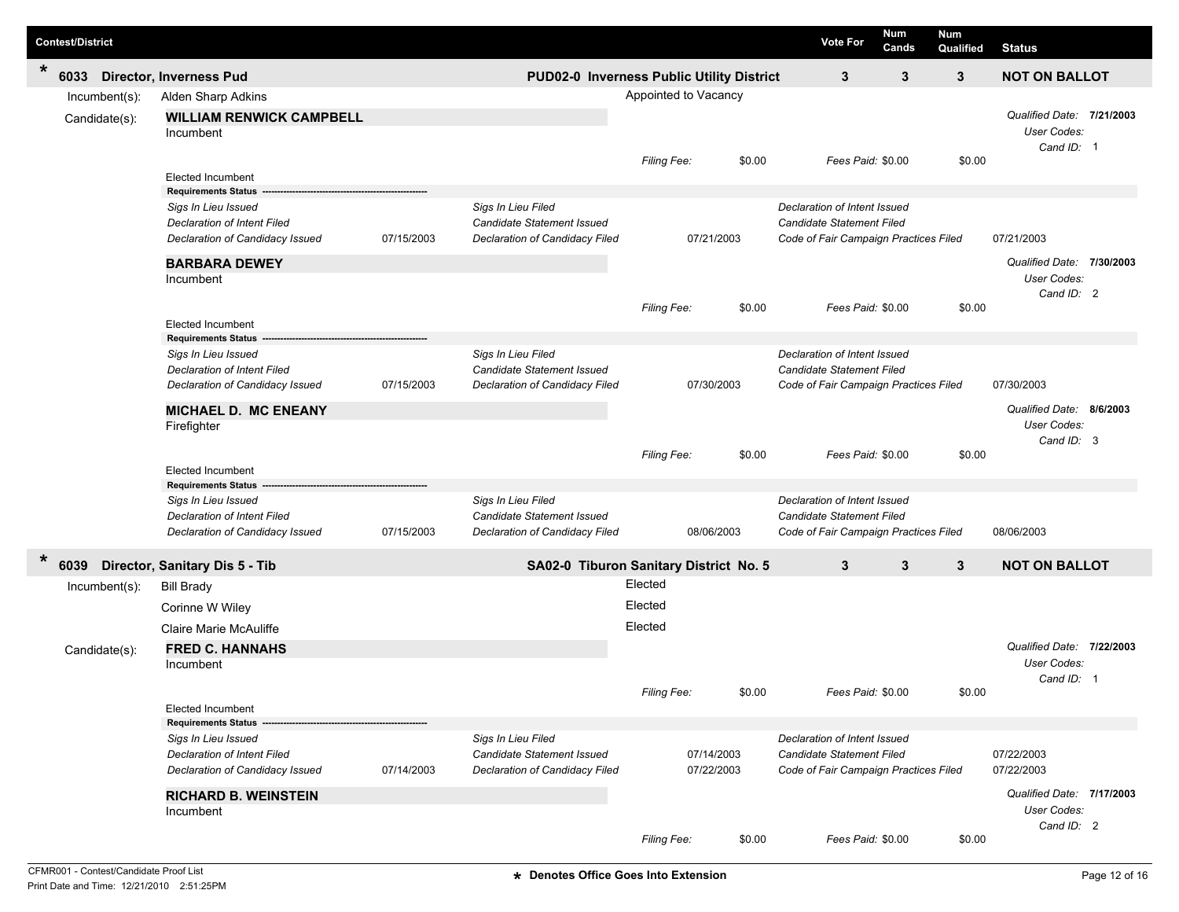| <b>Contest/District</b>                                          |                                                                                                                                                           |            |                                                                                    |                               |                          | <b>Vote For</b>                                                                                    | Num<br>Cands | Num<br>Qualified | <b>Status</b>                                          |  |
|------------------------------------------------------------------|-----------------------------------------------------------------------------------------------------------------------------------------------------------|------------|------------------------------------------------------------------------------------|-------------------------------|--------------------------|----------------------------------------------------------------------------------------------------|--------------|------------------|--------------------------------------------------------|--|
| *<br>6033<br><b>Director, Inverness Pud</b>                      |                                                                                                                                                           |            | PUD02-0 Inverness Public Utility District                                          |                               |                          | 3                                                                                                  | 3            | $\mathbf{3}$     | <b>NOT ON BALLOT</b>                                   |  |
| Incumbent(s):<br>Candidate(s):<br>Incumbent                      | Alden Sharp Adkins<br><b>WILLIAM RENWICK CAMPBELL</b>                                                                                                     |            |                                                                                    | Appointed to Vacancy          |                          |                                                                                                    |              |                  | Qualified Date: 7/21/2003<br>User Codes:<br>Cand ID: 1 |  |
|                                                                  | Elected Incumbent                                                                                                                                         |            |                                                                                    | Filing Fee:                   | \$0.00                   | Fees Paid: \$0.00                                                                                  |              | \$0.00           |                                                        |  |
| Incumbent                                                        | <b>Requirements Status</b><br>Sigs In Lieu Issued<br><b>Declaration of Intent Filed</b><br>Declaration of Candidacy Issued<br><b>BARBARA DEWEY</b>        | 07/15/2003 | Sigs In Lieu Filed<br>Candidate Statement Issued<br>Declaration of Candidacy Filed |                               | 07/21/2003               | Declaration of Intent Issued<br>Candidate Statement Filed<br>Code of Fair Campaign Practices Filed |              |                  | 07/21/2003<br>Qualified Date: 7/30/2003<br>User Codes: |  |
|                                                                  | <b>Elected Incumbent</b>                                                                                                                                  |            |                                                                                    | Filing Fee:                   | \$0.00                   | Fees Paid: \$0.00                                                                                  |              | \$0.00           | Cand ID: 2                                             |  |
| Firefighter                                                      | <b>Requirements Status</b><br>Sigs In Lieu Issued<br><b>Declaration of Intent Filed</b><br>Declaration of Candidacy Issued<br><b>MICHAEL D. MC ENEANY</b> | 07/15/2003 | Sigs In Lieu Filed<br>Candidate Statement Issued<br>Declaration of Candidacy Filed |                               | 07/30/2003               | Declaration of Intent Issued<br>Candidate Statement Filed<br>Code of Fair Campaign Practices Filed |              |                  | 07/30/2003<br>Qualified Date: 8/6/2003<br>User Codes:  |  |
|                                                                  | <b>Elected Incumbent</b>                                                                                                                                  |            |                                                                                    | Filing Fee:                   | \$0.00                   | Fees Paid: \$0.00                                                                                  |              | \$0.00           | Cand ID: 3                                             |  |
|                                                                  | <b>Requirements Status</b><br>Sigs In Lieu Issued<br><b>Declaration of Intent Filed</b><br>Declaration of Candidacy Issued                                | 07/15/2003 | Sigs In Lieu Filed<br>Candidate Statement Issued<br>Declaration of Candidacy Filed |                               | 08/06/2003               | Declaration of Intent Issued<br>Candidate Statement Filed<br>Code of Fair Campaign Practices Filed |              |                  | 08/06/2003                                             |  |
| $\star$<br>6039<br>Director, Sanitary Dis 5 - Tib                |                                                                                                                                                           |            | SA02-0 Tiburon Sanitary District No. 5                                             |                               |                          | 3                                                                                                  | 3            | $\mathbf{3}$     | <b>NOT ON BALLOT</b>                                   |  |
| Incumbent(s):<br><b>Bill Brady</b><br>Candidate(s):<br>Incumbent | Corinne W Wiley<br>Claire Marie McAuliffe<br><b>FRED C. HANNAHS</b>                                                                                       |            |                                                                                    | Elected<br>Elected<br>Elected |                          |                                                                                                    |              |                  | Qualified Date: 7/22/2003<br>User Codes:               |  |
|                                                                  | Elected Incumbent                                                                                                                                         |            |                                                                                    | Filing Fee:                   | \$0.00                   | Fees Paid: \$0.00                                                                                  |              | \$0.00           | Cand ID: 1                                             |  |
|                                                                  | <b>Requirements Status</b><br>Sigs In Lieu Issued<br>Declaration of Intent Filed<br>Declaration of Candidacy Issued                                       | 07/14/2003 | Sigs In Lieu Filed<br>Candidate Statement Issued<br>Declaration of Candidacy Filed |                               | 07/14/2003<br>07/22/2003 | Declaration of Intent Issued<br>Candidate Statement Filed<br>Code of Fair Campaign Practices Filed |              |                  | 07/22/2003<br>07/22/2003                               |  |
| Incumbent                                                        | <b>RICHARD B. WEINSTEIN</b>                                                                                                                               |            |                                                                                    | Filing Fee:                   | \$0.00                   | Fees Paid: \$0.00                                                                                  |              | \$0.00           | Qualified Date: 7/17/2003<br>User Codes:<br>Cand ID: 2 |  |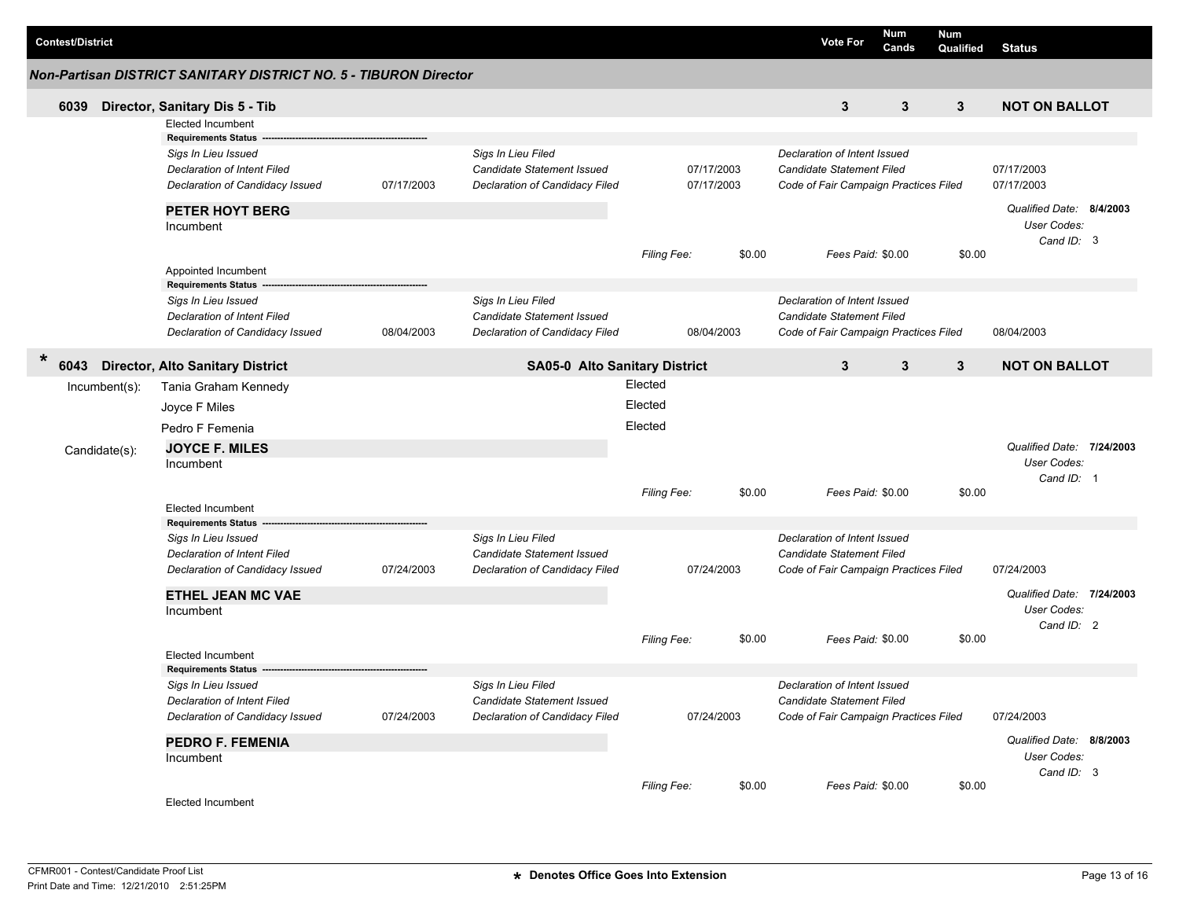| <b>Contest/District</b> |                  |                                                                  |            |                                      |            |                       |                                  | <b>Vote For</b>                                                    | <b>Num</b><br>Cands | <b>Num</b><br>Qualified | <b>Status</b>             |  |
|-------------------------|------------------|------------------------------------------------------------------|------------|--------------------------------------|------------|-----------------------|----------------------------------|--------------------------------------------------------------------|---------------------|-------------------------|---------------------------|--|
|                         |                  | Non-Partisan DISTRICT SANITARY DISTRICT NO. 5 - TIBURON Director |            |                                      |            |                       |                                  |                                                                    |                     |                         |                           |  |
| 6039                    |                  | Director, Sanitary Dis 5 - Tib                                   |            |                                      |            |                       |                                  | 3                                                                  | 3                   | 3                       | <b>NOT ON BALLOT</b>      |  |
|                         |                  | <b>Elected Incumbent</b>                                         |            |                                      |            |                       |                                  |                                                                    |                     |                         |                           |  |
|                         |                  | <b>Requirements Status</b>                                       |            |                                      |            |                       |                                  |                                                                    |                     |                         |                           |  |
|                         |                  | Sigs In Lieu Issued                                              |            | Sigs In Lieu Filed                   |            |                       |                                  | Declaration of Intent Issued                                       |                     |                         |                           |  |
|                         |                  | <b>Declaration of Intent Filed</b>                               |            | <b>Candidate Statement Issued</b>    | 07/17/2003 |                       | <b>Candidate Statement Filed</b> |                                                                    |                     | 07/17/2003              |                           |  |
|                         |                  | Declaration of Candidacy Issued                                  | 07/17/2003 | Declaration of Candidacy Filed       |            | 07/17/2003            |                                  | Code of Fair Campaign Practices Filed                              |                     |                         | 07/17/2003                |  |
|                         |                  | <b>PETER HOYT BERG</b>                                           |            |                                      |            |                       |                                  |                                                                    |                     |                         | Qualified Date: 8/4/2003  |  |
|                         |                  | Incumbent                                                        |            |                                      |            | \$0.00<br>Filing Fee: |                                  | Fees Paid: \$0.00                                                  |                     |                         | User Codes:               |  |
|                         |                  |                                                                  |            |                                      |            |                       |                                  |                                                                    |                     | \$0.00                  | Cand ID: 3                |  |
|                         |                  | Appointed Incumbent                                              |            |                                      |            |                       |                                  |                                                                    |                     |                         |                           |  |
|                         |                  | <b>Requirements Status</b>                                       |            |                                      |            |                       |                                  |                                                                    |                     |                         |                           |  |
|                         |                  | Sigs In Lieu Issued                                              |            | Sigs In Lieu Filed                   |            |                       |                                  | Declaration of Intent Issued                                       |                     |                         |                           |  |
|                         |                  | Declaration of Intent Filed                                      |            | Candidate Statement Issued           |            |                       |                                  | Candidate Statement Filed                                          |                     |                         |                           |  |
|                         |                  | Declaration of Candidacy Issued                                  | 08/04/2003 | Declaration of Candidacy Filed       |            | 08/04/2003            |                                  | Code of Fair Campaign Practices Filed                              |                     |                         | 08/04/2003                |  |
| $\star$<br>6043         |                  | <b>Director, Alto Sanitary District</b>                          |            | <b>SA05-0 Alto Sanitary District</b> |            |                       |                                  | 3                                                                  | 3                   | 3                       | <b>NOT ON BALLOT</b>      |  |
|                         | $Incumbent(s)$ : | Tania Graham Kennedy                                             |            |                                      | Elected    |                       |                                  |                                                                    |                     |                         |                           |  |
|                         |                  | Joyce F Miles                                                    | Elected    |                                      |            |                       |                                  |                                                                    |                     |                         |                           |  |
|                         |                  | Pedro F Femenia                                                  |            |                                      |            | Elected               |                                  |                                                                    |                     |                         |                           |  |
|                         |                  | <b>JOYCE F. MILES</b>                                            |            |                                      |            |                       |                                  |                                                                    |                     |                         | Qualified Date: 7/24/2003 |  |
|                         | Candidate(s):    | Incumbent                                                        |            |                                      |            |                       |                                  |                                                                    |                     |                         | User Codes:               |  |
|                         |                  |                                                                  |            |                                      |            |                       |                                  |                                                                    |                     |                         | Cand ID: 1                |  |
|                         |                  |                                                                  |            |                                      |            | Filing Fee:           | \$0.00                           | Fees Paid: \$0.00                                                  |                     | \$0.00                  |                           |  |
|                         |                  | <b>Elected Incumbent</b>                                         |            |                                      |            |                       |                                  |                                                                    |                     |                         |                           |  |
|                         |                  | <b>Requirements Status</b>                                       |            |                                      |            |                       |                                  |                                                                    |                     |                         |                           |  |
|                         |                  | Sigs In Lieu Issued                                              |            | Sigs In Lieu Filed                   |            |                       |                                  | Declaration of Intent Issued                                       |                     |                         |                           |  |
|                         |                  | <b>Declaration of Intent Filed</b>                               |            | <b>Candidate Statement Issued</b>    |            |                       |                                  | Candidate Statement Filed<br>Code of Fair Campaign Practices Filed |                     |                         |                           |  |
|                         |                  | Declaration of Candidacy Issued                                  | 07/24/2003 | Declaration of Candidacy Filed       |            | 07/24/2003            |                                  |                                                                    |                     |                         | 07/24/2003                |  |
|                         |                  | <b>ETHEL JEAN MC VAE</b>                                         |            |                                      |            |                       |                                  |                                                                    |                     |                         | Qualified Date: 7/24/2003 |  |
|                         |                  | Incumbent                                                        |            |                                      |            |                       |                                  |                                                                    |                     |                         | User Codes:               |  |
|                         |                  |                                                                  |            |                                      |            |                       |                                  |                                                                    |                     |                         | Cand ID: 2                |  |
|                         |                  | <b>Elected Incumbent</b>                                         |            |                                      |            | <b>Filing Fee:</b>    | \$0.00                           | Fees Paid: \$0.00                                                  |                     | \$0.00                  |                           |  |
|                         |                  | <b>Requirements Status</b>                                       |            |                                      |            |                       |                                  |                                                                    |                     |                         |                           |  |
|                         |                  | Sigs In Lieu Issued                                              |            | Sigs In Lieu Filed                   |            |                       |                                  | Declaration of Intent Issued                                       |                     |                         |                           |  |
|                         |                  | Declaration of Intent Filed                                      |            | Candidate Statement Issued           |            |                       |                                  | Candidate Statement Filed                                          |                     |                         |                           |  |
|                         |                  | Declaration of Candidacy Issued                                  | 07/24/2003 | Declaration of Candidacy Filed       | 07/24/2003 |                       |                                  | Code of Fair Campaign Practices Filed                              |                     |                         | 07/24/2003                |  |
|                         |                  | <b>PEDRO F. FEMENIA</b>                                          |            |                                      |            |                       |                                  |                                                                    |                     |                         | Qualified Date: 8/8/2003  |  |
|                         |                  | Incumbent                                                        |            |                                      |            |                       |                                  |                                                                    |                     |                         | User Codes:               |  |
|                         |                  |                                                                  |            |                                      |            |                       |                                  |                                                                    |                     |                         | Cand ID: 3                |  |
|                         |                  |                                                                  |            |                                      |            | Filing Fee:           | \$0.00                           | Fees Paid: \$0.00                                                  |                     | \$0.00                  |                           |  |
|                         |                  | Elected Incumbent                                                |            |                                      |            |                       |                                  |                                                                    |                     |                         |                           |  |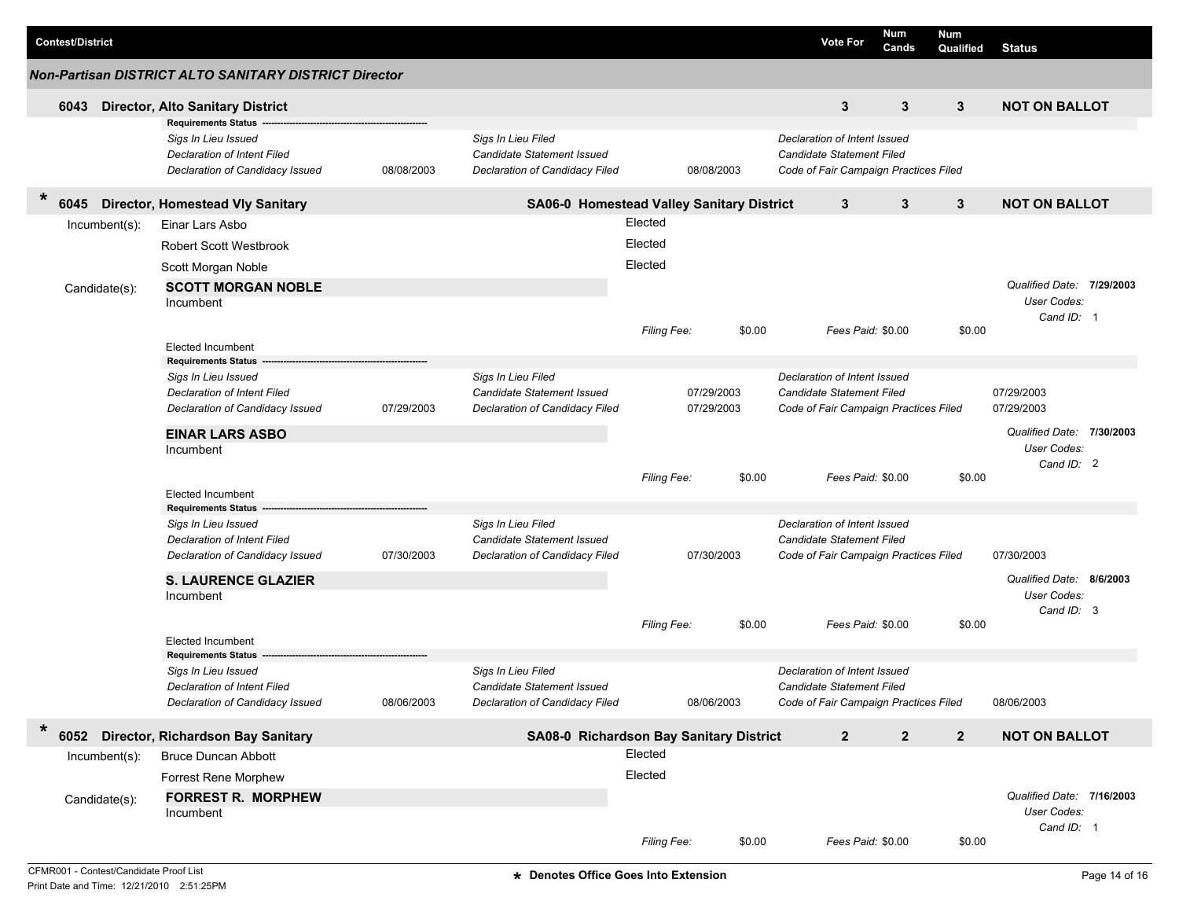| <b>Contest/District</b> |                                                                                                                     |            |                                                                                           |             |                          |        | <b>Vote For</b>                                                                                           | Num<br>Cands | Num<br>Qualified | <b>Status</b>                                          |          |
|-------------------------|---------------------------------------------------------------------------------------------------------------------|------------|-------------------------------------------------------------------------------------------|-------------|--------------------------|--------|-----------------------------------------------------------------------------------------------------------|--------------|------------------|--------------------------------------------------------|----------|
|                         | Non-Partisan DISTRICT ALTO SANITARY DISTRICT Director                                                               |            |                                                                                           |             |                          |        |                                                                                                           |              |                  |                                                        |          |
| 6043                    | <b>Director, Alto Sanitary District</b>                                                                             |            |                                                                                           |             |                          |        | 3                                                                                                         | 3            | 3                | <b>NOT ON BALLOT</b>                                   |          |
|                         | <b>Requirements Status</b><br>Sigs In Lieu Issued<br>Declaration of Intent Filed<br>Declaration of Candidacy Issued | 08/08/2003 | Sigs In Lieu Filed<br>Candidate Statement Issued<br>Declaration of Candidacy Filed        |             | 08/08/2003               |        | Declaration of Intent Issued<br><b>Candidate Statement Filed</b><br>Code of Fair Campaign Practices Filed |              |                  |                                                        |          |
| $\ast$<br>6045          | <b>Director, Homestead Vly Sanitary</b>                                                                             |            | SA06-0 Homestead Valley Sanitary District                                                 |             |                          |        | $\mathbf{3}$                                                                                              | $\mathbf{3}$ | $\mathbf{3}$     | <b>NOT ON BALLOT</b>                                   |          |
| $lncumbent(s)$ :        | Einar Lars Asbo                                                                                                     |            |                                                                                           | Elected     |                          |        |                                                                                                           |              |                  |                                                        |          |
|                         | <b>Robert Scott Westbrook</b>                                                                                       |            |                                                                                           | Elected     |                          |        |                                                                                                           |              |                  |                                                        |          |
|                         | Scott Morgan Noble                                                                                                  |            |                                                                                           | Elected     |                          |        |                                                                                                           |              |                  |                                                        |          |
| Candidate(s):           | <b>SCOTT MORGAN NOBLE</b><br>Incumbent                                                                              |            |                                                                                           |             |                          |        |                                                                                                           |              |                  | Qualified Date: 7/29/2003<br>User Codes:<br>Cand ID: 1 |          |
|                         |                                                                                                                     |            |                                                                                           | Filing Fee: |                          | \$0.00 | Fees Paid: \$0.00                                                                                         |              | \$0.00           |                                                        |          |
|                         | <b>Elected Incumbent</b><br><b>Requirements Status</b>                                                              |            |                                                                                           |             |                          |        |                                                                                                           |              |                  |                                                        |          |
|                         | Sigs In Lieu Issued<br>Declaration of Intent Filed<br>Declaration of Candidacy Issued                               | 07/29/2003 | Sigs In Lieu Filed<br><b>Candidate Statement Issued</b><br>Declaration of Candidacy Filed |             | 07/29/2003<br>07/29/2003 |        | Declaration of Intent Issued<br><b>Candidate Statement Filed</b><br>Code of Fair Campaign Practices Filed |              |                  | 07/29/2003<br>07/29/2003                               |          |
|                         | <b>EINAR LARS ASBO</b><br>Incumbent                                                                                 |            |                                                                                           |             |                          |        |                                                                                                           |              |                  | Qualified Date: 7/30/2003<br>User Codes:<br>Cand ID: 2 |          |
|                         |                                                                                                                     |            |                                                                                           | Filing Fee: |                          | \$0.00 | Fees Paid: \$0.00                                                                                         |              | \$0.00           |                                                        |          |
|                         | Elected Incumbent<br><b>Requirements Status</b>                                                                     |            |                                                                                           |             |                          |        |                                                                                                           |              |                  |                                                        |          |
|                         | Sigs In Lieu Issued<br>Declaration of Intent Filed<br>Declaration of Candidacy Issued                               | 07/30/2003 | Sigs In Lieu Filed<br>Candidate Statement Issued<br>Declaration of Candidacy Filed        |             | 07/30/2003               |        | Declaration of Intent Issued<br>Candidate Statement Filed<br>Code of Fair Campaign Practices Filed        |              |                  | 07/30/2003                                             |          |
|                         | <b>S. LAURENCE GLAZIER</b>                                                                                          |            |                                                                                           |             |                          |        |                                                                                                           |              |                  | Qualified Date:                                        | 8/6/2003 |
|                         | Incumbent                                                                                                           |            |                                                                                           |             |                          |        |                                                                                                           |              |                  | User Codes:<br>Cand ID: 3                              |          |
|                         | Elected Incumbent                                                                                                   |            |                                                                                           | Filing Fee: |                          | \$0.00 | Fees Paid: \$0.00                                                                                         |              | \$0.00           |                                                        |          |
|                         | <b>Requirements Status</b>                                                                                          |            |                                                                                           |             |                          |        |                                                                                                           |              |                  |                                                        |          |
|                         | Sigs In Lieu Issued<br>Declaration of Intent Filed<br>Declaration of Candidacy Issued                               | 08/06/2003 | Sias In Lieu Filed<br>Candidate Statement Issued<br>Declaration of Candidacy Filed        |             | 08/06/2003               |        | Declaration of Intent Issued<br>Candidate Statement Filed<br>Code of Fair Campaign Practices Filed        |              |                  | 08/06/2003                                             |          |
| $\ast$<br>6052          | Director, Richardson Bay Sanitary                                                                                   |            | SA08-0 Richardson Bay Sanitary District                                                   |             |                          |        | $\mathbf{2}$                                                                                              | $\mathbf 2$  | $\mathbf{2}$     | <b>NOT ON BALLOT</b>                                   |          |
| Incumbent(s):           | <b>Bruce Duncan Abbott</b>                                                                                          |            |                                                                                           | Elected     |                          |        |                                                                                                           |              |                  |                                                        |          |
|                         | Forrest Rene Morphew                                                                                                |            |                                                                                           | Elected     |                          |        |                                                                                                           |              |                  |                                                        |          |
| Candidate(s):           | <b>FORREST R. MORPHEW</b><br>Incumbent                                                                              |            |                                                                                           |             |                          |        |                                                                                                           |              |                  | Qualified Date: 7/16/2003<br>User Codes:<br>Cand ID: 1 |          |
|                         |                                                                                                                     |            |                                                                                           | Filing Fee: |                          | \$0.00 | Fees Paid: \$0.00                                                                                         |              | \$0.00           |                                                        |          |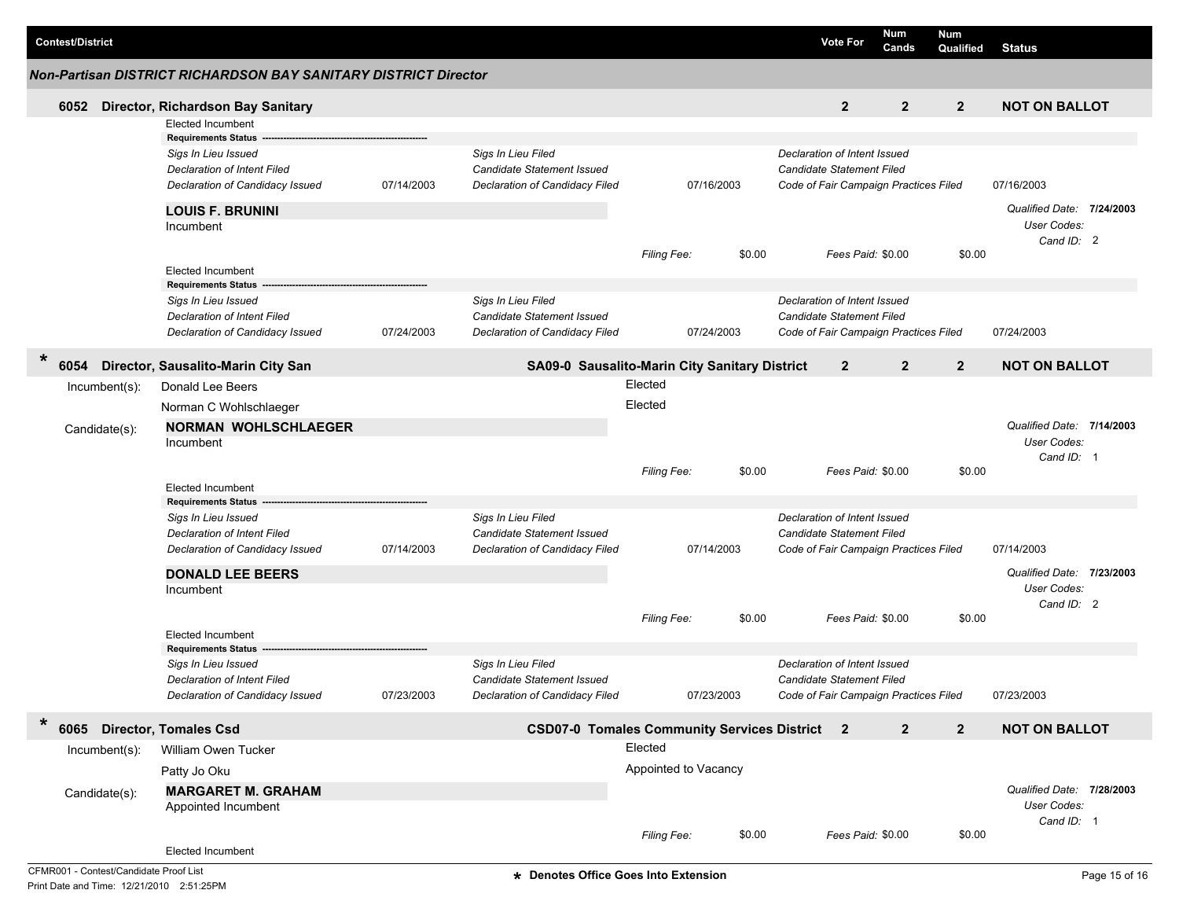|         | <b>Contest/District</b> |                  |                                                                 |            |                                                  |                                                      |        | <b>Vote For</b>                                           | Num<br>Cands   | <b>Num</b><br>Qualified | <b>Status</b>             |                           |
|---------|-------------------------|------------------|-----------------------------------------------------------------|------------|--------------------------------------------------|------------------------------------------------------|--------|-----------------------------------------------------------|----------------|-------------------------|---------------------------|---------------------------|
|         |                         |                  | Non-Partisan DISTRICT RICHARDSON BAY SANITARY DISTRICT Director |            |                                                  |                                                      |        |                                                           |                |                         |                           |                           |
|         | 6052                    |                  | Director, Richardson Bay Sanitary                               |            |                                                  |                                                      |        | $\overline{2}$                                            | $\overline{2}$ | $\overline{2}$          | <b>NOT ON BALLOT</b>      |                           |
|         |                         |                  | <b>Elected Incumbent</b>                                        |            |                                                  |                                                      |        |                                                           |                |                         |                           |                           |
|         |                         |                  | <b>Requirements Status</b><br>Sigs In Lieu Issued               |            | Sigs In Lieu Filed                               |                                                      |        | Declaration of Intent Issued                              |                |                         |                           |                           |
|         |                         |                  | Declaration of Intent Filed                                     |            | Candidate Statement Issued                       |                                                      |        | Candidate Statement Filed                                 |                |                         |                           |                           |
|         |                         |                  | Declaration of Candidacy Issued                                 | 07/14/2003 | Declaration of Candidacy Filed                   | 07/16/2003                                           |        | Code of Fair Campaign Practices Filed                     |                |                         | 07/16/2003                |                           |
|         |                         |                  | <b>LOUIS F. BRUNINI</b>                                         |            |                                                  |                                                      |        |                                                           |                |                         | Qualified Date: 7/24/2003 |                           |
|         |                         |                  | Incumbent                                                       |            |                                                  |                                                      |        |                                                           |                |                         | User Codes:               |                           |
|         |                         |                  |                                                                 |            |                                                  | Filing Fee:                                          | \$0.00 | Fees Paid: \$0.00                                         |                | \$0.00                  | Cand ID: 2                |                           |
|         |                         |                  | <b>Elected Incumbent</b>                                        |            |                                                  |                                                      |        |                                                           |                |                         |                           |                           |
|         |                         |                  | <b>Requirements Status</b>                                      |            |                                                  |                                                      |        |                                                           |                |                         |                           |                           |
|         |                         |                  | Sigs In Lieu Issued<br>Declaration of Intent Filed              |            | Sigs In Lieu Filed<br>Candidate Statement Issued |                                                      |        | Declaration of Intent Issued<br>Candidate Statement Filed |                |                         |                           |                           |
|         |                         |                  | Declaration of Candidacy Issued                                 | 07/24/2003 | Declaration of Candidacy Filed                   | 07/24/2003                                           |        | Code of Fair Campaign Practices Filed                     |                |                         | 07/24/2003                |                           |
|         |                         |                  |                                                                 |            |                                                  |                                                      |        |                                                           |                |                         |                           |                           |
| $\star$ |                         |                  | 6054 Director, Sausalito-Marin City San                         |            |                                                  | SA09-0 Sausalito-Marin City Sanitary District        |        | $\mathbf{2}$                                              | $\overline{2}$ | $\overline{2}$          | <b>NOT ON BALLOT</b>      |                           |
|         |                         | Incumbent(s):    | Donald Lee Beers                                                |            |                                                  | Elected                                              |        |                                                           |                |                         |                           |                           |
|         |                         |                  | Norman C Wohlschlaeger                                          |            |                                                  | Elected                                              |        |                                                           |                |                         |                           |                           |
|         | Candidate(s):           |                  | <b>NORMAN WOHLSCHLAEGER</b>                                     |            |                                                  |                                                      |        | Qualified Date: 7/14/2003                                 |                |                         |                           |                           |
|         |                         |                  | Incumbent                                                       |            |                                                  |                                                      |        |                                                           |                |                         | User Codes:               |                           |
|         |                         |                  |                                                                 |            |                                                  | <b>Filing Fee:</b>                                   | \$0.00 | Fees Paid: \$0.00                                         |                | \$0.00                  | Cand ID: 1                |                           |
|         |                         |                  | <b>Elected Incumbent</b>                                        |            |                                                  |                                                      |        |                                                           |                |                         |                           |                           |
|         |                         |                  | <b>Requirements Status</b>                                      |            |                                                  |                                                      |        |                                                           |                |                         |                           |                           |
|         |                         |                  | Sigs In Lieu Issued                                             |            | Sigs In Lieu Filed                               |                                                      |        | Declaration of Intent Issued                              |                |                         |                           |                           |
|         |                         |                  | Declaration of Intent Filed                                     |            | Candidate Statement Issued                       |                                                      |        | Candidate Statement Filed                                 |                |                         |                           |                           |
|         |                         |                  | Declaration of Candidacy Issued                                 | 07/14/2003 | Declaration of Candidacy Filed                   | 07/14/2003                                           |        | Code of Fair Campaign Practices Filed                     |                |                         | 07/14/2003                |                           |
|         |                         |                  | <b>DONALD LEE BEERS</b>                                         |            |                                                  |                                                      |        |                                                           |                |                         | Qualified Date: 7/23/2003 |                           |
|         |                         |                  | Incumbent                                                       |            |                                                  |                                                      |        |                                                           |                |                         | User Codes:<br>Cand ID: 2 |                           |
|         |                         |                  |                                                                 |            |                                                  | <b>Filing Fee:</b>                                   | \$0.00 | Fees Paid: \$0.00                                         |                | \$0.00                  |                           |                           |
|         |                         |                  | <b>Elected Incumbent</b>                                        |            |                                                  |                                                      |        |                                                           |                |                         |                           |                           |
|         |                         |                  | <b>Requirements Status</b>                                      |            |                                                  |                                                      |        |                                                           |                |                         |                           |                           |
|         |                         |                  | Sigs In Lieu Issued<br><b>Declaration of Intent Filed</b>       |            | Sigs In Lieu Filed<br>Candidate Statement Issued |                                                      |        | Declaration of Intent Issued<br>Candidate Statement Filed |                |                         |                           |                           |
|         |                         |                  | Declaration of Candidacy Issued                                 | 07/23/2003 | Declaration of Candidacy Filed                   | 07/23/2003                                           |        | Code of Fair Campaign Practices Filed                     |                |                         | 07/23/2003                |                           |
|         |                         |                  |                                                                 |            |                                                  |                                                      |        |                                                           |                |                         |                           |                           |
| *       |                         |                  | 6065 Director, Tomales Csd                                      |            |                                                  | <b>CSD07-0 Tomales Community Services District 2</b> |        |                                                           | $\overline{2}$ | $\overline{2}$          | <b>NOT ON BALLOT</b>      |                           |
|         |                         | $Incumbent(s)$ : | William Owen Tucker                                             |            |                                                  | Elected                                              |        |                                                           |                |                         |                           |                           |
|         |                         |                  | Patty Jo Oku                                                    |            |                                                  | Appointed to Vacancy                                 |        |                                                           |                |                         |                           |                           |
|         | Candidate(s):           |                  | <b>MARGARET M. GRAHAM</b>                                       |            |                                                  |                                                      |        |                                                           |                |                         |                           | Qualified Date: 7/28/2003 |
|         |                         |                  | Appointed Incumbent                                             |            |                                                  |                                                      |        |                                                           |                |                         | User Codes:               |                           |
|         |                         |                  |                                                                 |            |                                                  | Filing Fee:                                          | \$0.00 | Fees Paid: \$0.00                                         |                | \$0.00                  | Cand ID: 1                |                           |
|         |                         |                  | Elected Incumbent                                               |            |                                                  |                                                      |        |                                                           |                |                         |                           |                           |